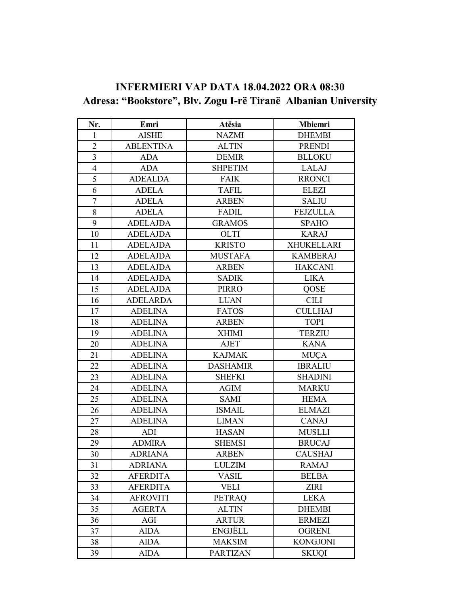# **INFERMIERI VAP DATA 18.04.2022 ORA 08:30 Adresa: "Bookstore", Blv. Zogu I-rë Tiranë Albanian University**

| Nr.            | Emri             | Atësia          | <b>Mbiemri</b>    |
|----------------|------------------|-----------------|-------------------|
| 1              | <b>AISHE</b>     | <b>NAZMI</b>    | <b>DHEMBI</b>     |
| $\overline{2}$ | <b>ABLENTINA</b> | <b>ALTIN</b>    | <b>PRENDI</b>     |
| 3              | <b>ADA</b>       | <b>DEMIR</b>    | <b>BLLOKU</b>     |
| $\overline{4}$ | <b>ADA</b>       | <b>SHPETIM</b>  | LALAJ             |
| 5              | <b>ADEALDA</b>   | <b>FAIK</b>     | <b>RRONCI</b>     |
| 6              | <b>ADELA</b>     | <b>TAFIL</b>    | <b>ELEZI</b>      |
| 7              | <b>ADELA</b>     | <b>ARBEN</b>    | <b>SALIU</b>      |
| $8\,$          | <b>ADELA</b>     | FADIL           | <b>FEJZULLA</b>   |
| 9              | <b>ADELAJDA</b>  | <b>GRAMOS</b>   | <b>SPAHO</b>      |
| 10             | <b>ADELAJDA</b>  | <b>OLTI</b>     | <b>KARAJ</b>      |
| 11             | <b>ADELAJDA</b>  | <b>KRISTO</b>   | <b>XHUKELLARI</b> |
| 12             | <b>ADELAJDA</b>  | <b>MUSTAFA</b>  | <b>KAMBERAJ</b>   |
| 13             | <b>ADELAJDA</b>  | <b>ARBEN</b>    | <b>HAKCANI</b>    |
| 14             | <b>ADELAJDA</b>  | <b>SADIK</b>    | <b>LIKA</b>       |
| 15             | <b>ADELAJDA</b>  | <b>PIRRO</b>    | QOSE              |
| 16             | <b>ADELARDA</b>  | <b>LUAN</b>     | <b>CILI</b>       |
| 17             | <b>ADELINA</b>   | <b>FATOS</b>    | <b>CULLHAJ</b>    |
| 18             | <b>ADELINA</b>   | <b>ARBEN</b>    | <b>TOPI</b>       |
| 19             | <b>ADELINA</b>   | <b>XHIMI</b>    | <b>TERZIU</b>     |
| 20             | <b>ADELINA</b>   | AJET            | <b>KANA</b>       |
| 21             | <b>ADELINA</b>   | <b>KAJMAK</b>   | <b>MUÇA</b>       |
| 22             | <b>ADELINA</b>   | <b>DASHAMIR</b> | <b>IBRALIU</b>    |
| 23             | <b>ADELINA</b>   | <b>SHEFKI</b>   | <b>SHADINI</b>    |
| 24             | <b>ADELINA</b>   | <b>AGIM</b>     | <b>MARKU</b>      |
| 25             | <b>ADELINA</b>   | <b>SAMI</b>     | <b>HEMA</b>       |
| 26             | <b>ADELINA</b>   | <b>ISMAIL</b>   | <b>ELMAZI</b>     |
| 27             | <b>ADELINA</b>   | <b>LIMAN</b>    | <b>CANAJ</b>      |
| 28             | ADI              | <b>HASAN</b>    | <b>MUSLLI</b>     |
| 29             | <b>ADMIRA</b>    | <b>SHEMSI</b>   | <b>BRUCAJ</b>     |
| 30             | <b>ADRIANA</b>   | <b>ARBEN</b>    | <b>CAUSHAJ</b>    |
| 31             | ADRIANA          | <b>LULZIM</b>   | <b>RAMAJ</b>      |
| 32             | <b>AFERDITA</b>  | <b>VASIL</b>    | <b>BELBA</b>      |
| 33             | <b>AFERDITA</b>  | <b>VELI</b>     | <b>ZIRI</b>       |
| 34             | <b>AFROVITI</b>  | <b>PETRAQ</b>   | <b>LEKA</b>       |
| 35             | <b>AGERTA</b>    | <b>ALTIN</b>    | <b>DHEMBI</b>     |
| 36             | $AGI$            | <b>ARTUR</b>    | <b>ERMEZI</b>     |
| 37             | <b>AIDA</b>      | <b>ENGJËLL</b>  | <b>OGRENI</b>     |
| 38             | <b>AIDA</b>      | <b>MAKSIM</b>   | <b>KONGJONI</b>   |
| 39             | <b>AIDA</b>      | <b>PARTIZAN</b> | <b>SKUQI</b>      |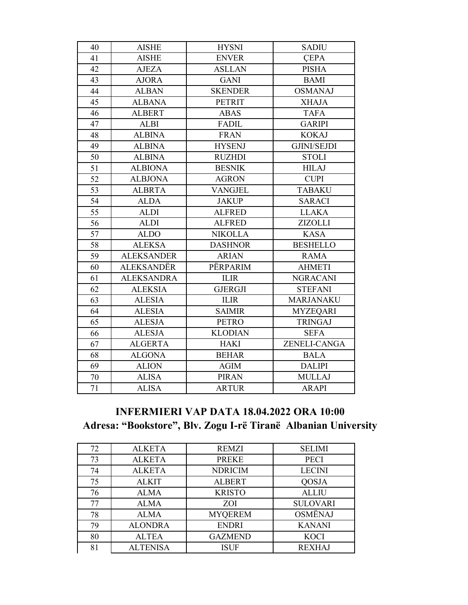| 40 | <b>AISHE</b>      | <b>HYSNI</b>   | <b>SADIU</b>       |
|----|-------------------|----------------|--------------------|
| 41 | <b>AISHE</b>      | <b>ENVER</b>   | <b>CEPA</b>        |
| 42 | <b>AJEZA</b>      | <b>ASLLAN</b>  | <b>PISHA</b>       |
| 43 | <b>AJORA</b>      | <b>GANI</b>    | <b>BAMI</b>        |
| 44 | <b>ALBAN</b>      | <b>SKENDER</b> | <b>OSMANAJ</b>     |
| 45 | <b>ALBANA</b>     | <b>PETRIT</b>  | <b>XHAJA</b>       |
| 46 | <b>ALBERT</b>     | <b>ABAS</b>    | <b>TAFA</b>        |
| 47 | <b>ALBI</b>       | <b>FADIL</b>   | <b>GARIPI</b>      |
| 48 | <b>ALBINA</b>     | <b>FRAN</b>    | <b>KOKAJ</b>       |
| 49 | <b>ALBINA</b>     | <b>HYSENJ</b>  | <b>GJINI/SEJDI</b> |
| 50 | <b>ALBINA</b>     | <b>RUZHDI</b>  | <b>STOLI</b>       |
| 51 | <b>ALBIONA</b>    | <b>BESNIK</b>  | <b>HILAJ</b>       |
| 52 | <b>ALBJONA</b>    | <b>AGRON</b>   | <b>CUPI</b>        |
| 53 | <b>ALBRTA</b>     | <b>VANGJEL</b> | <b>TABAKU</b>      |
| 54 | <b>ALDA</b>       | <b>JAKUP</b>   | <b>SARACI</b>      |
| 55 | <b>ALDI</b>       | <b>ALFRED</b>  | <b>LLAKA</b>       |
| 56 | <b>ALDI</b>       | <b>ALFRED</b>  | <b>ZIZOLLI</b>     |
| 57 | <b>ALDO</b>       | <b>NIKOLLA</b> | <b>KASA</b>        |
| 58 | <b>ALEKSA</b>     | <b>DASHNOR</b> | <b>BESHELLO</b>    |
| 59 | <b>ALEKSANDER</b> | <b>ARIAN</b>   | <b>RAMA</b>        |
| 60 | <b>ALEKSANDËR</b> | PËRPARIM       | <b>AHMETI</b>      |
| 61 | <b>ALEKSANDRA</b> | <b>ILIR</b>    | <b>NGRACANI</b>    |
| 62 | <b>ALEKSIA</b>    | <b>GJERGJI</b> | <b>STEFANI</b>     |
| 63 | <b>ALESIA</b>     | <b>ILIR</b>    | MARJANAKU          |
| 64 | <b>ALESIA</b>     | <b>SAIMIR</b>  | <b>MYZEQARI</b>    |
| 65 | <b>ALESJA</b>     | <b>PETRO</b>   | <b>TRINGAJ</b>     |
| 66 | <b>ALESJA</b>     | <b>KLODIAN</b> | <b>SEFA</b>        |
| 67 | <b>ALGERTA</b>    | <b>HAKI</b>    | ZENELI-CANGA       |
| 68 | <b>ALGONA</b>     | <b>BEHAR</b>   | <b>BALA</b>        |
| 69 | <b>ALION</b>      | <b>AGIM</b>    | <b>DALIPI</b>      |
| 70 | <b>ALISA</b>      | <b>PIRAN</b>   | <b>MULLAJ</b>      |
| 71 | <b>ALISA</b>      | <b>ARTUR</b>   | <b>ARAPI</b>       |

# **INFERMIERI VAP DATA 18.04.2022 ORA 10:00** Adresa: "Bookstore", Blv. Zogu I-rë Tiranë Albanian University

| 72 | <b>ALKETA</b>   | <b>REMZI</b>   | <b>SELIMI</b>   |
|----|-----------------|----------------|-----------------|
| 73 | <b>ALKETA</b>   | <b>PREKE</b>   | <b>PECI</b>     |
| 74 | <b>ALKETA</b>   | <b>NDRICIM</b> | <b>LECINI</b>   |
| 75 | <b>ALKIT</b>    | <b>ALBERT</b>  | QOSJA           |
| 76 | <b>ALMA</b>     | <b>KRISTO</b>  | <b>ALLIU</b>    |
| 77 | <b>ALMA</b>     | <b>ZOI</b>     | <b>SULOVARI</b> |
| 78 | <b>ALMA</b>     | <b>MYQEREM</b> | <b>OSMËNAJ</b>  |
| 79 | <b>ALONDRA</b>  | <b>ENDRI</b>   | <b>KANANI</b>   |
| 80 | <b>ALTEA</b>    | <b>GAZMEND</b> | <b>KOCI</b>     |
| 81 | <b>ALTENISA</b> | <b>ISUF</b>    | <b>REXHAJ</b>   |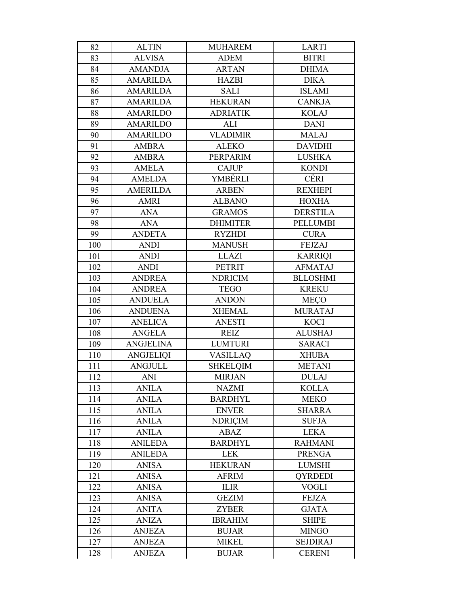| 82  | <b>ALTIN</b>     | <b>MUHAREM</b>  | <b>LARTI</b>    |
|-----|------------------|-----------------|-----------------|
| 83  | <b>ALVISA</b>    | <b>ADEM</b>     | <b>BITRI</b>    |
| 84  | <b>AMANDJA</b>   | <b>ARTAN</b>    | <b>DHIMA</b>    |
| 85  | <b>AMARILDA</b>  | <b>HAZBI</b>    | <b>DIKA</b>     |
| 86  | <b>AMARILDA</b>  | <b>SALI</b>     | <b>ISLAMI</b>   |
| 87  | <b>AMARILDA</b>  | <b>HEKURAN</b>  | <b>CANKJA</b>   |
| 88  | <b>AMARILDO</b>  | <b>ADRIATIK</b> | <b>KOLAJ</b>    |
| 89  | <b>AMARILDO</b>  | ALI             | <b>DANI</b>     |
| 90  | <b>AMARILDO</b>  | <b>VLADIMIR</b> | <b>MALAJ</b>    |
| 91  | <b>AMBRA</b>     | <b>ALEKO</b>    | <b>DAVIDHI</b>  |
| 92  | <b>AMBRA</b>     | PERPARIM        | <b>LUSHKA</b>   |
| 93  | <b>AMELA</b>     | <b>CAJUP</b>    | <b>KONDI</b>    |
| 94  | <b>AMELDA</b>    | YMBËRLI         | CËRI            |
| 95  | <b>AMERILDA</b>  | <b>ARBEN</b>    | <b>REXHEPI</b>  |
| 96  | <b>AMRI</b>      | <b>ALBANO</b>   | <b>HOXHA</b>    |
| 97  | <b>ANA</b>       | <b>GRAMOS</b>   | <b>DERSTILA</b> |
| 98  | <b>ANA</b>       | <b>DHIMITER</b> | <b>PELLUMBI</b> |
| 99  | <b>ANDETA</b>    | <b>RYZHDI</b>   | <b>CURA</b>     |
| 100 | <b>ANDI</b>      | <b>MANUSH</b>   | <b>FEJZAJ</b>   |
| 101 | <b>ANDI</b>      | <b>LLAZI</b>    | <b>KARRIQI</b>  |
| 102 | <b>ANDI</b>      | <b>PETRIT</b>   | <b>AFMATAJ</b>  |
| 103 | <b>ANDREA</b>    | <b>NDRICIM</b>  | <b>BLLOSHMI</b> |
| 104 | <b>ANDREA</b>    | <b>TEGO</b>     | <b>KREKU</b>    |
| 105 | <b>ANDUELA</b>   | <b>ANDON</b>    | <b>MECO</b>     |
| 106 | <b>ANDUENA</b>   | <b>XHEMAL</b>   | <b>MURATAJ</b>  |
| 107 | <b>ANELICA</b>   | <b>ANESTI</b>   | <b>KOCI</b>     |
| 108 | <b>ANGELA</b>    | <b>REIZ</b>     | <b>ALUSHAJ</b>  |
| 109 | <b>ANGJELINA</b> | <b>LUMTURI</b>  | <b>SARACI</b>   |
| 110 | <b>ANGJELIQI</b> | <b>VASILLAQ</b> | <b>XHUBA</b>    |
| 111 | <b>ANGJULL</b>   | <b>SHKELQIM</b> | <b>METANI</b>   |
| 112 | <b>ANI</b>       | <b>MIRJAN</b>   | <b>DULAJ</b>    |
| 113 | <b>ANILA</b>     | <b>NAZMI</b>    | <b>KOLLA</b>    |
| 114 | <b>ANILA</b>     | <b>BARDHYL</b>  | <b>MEKO</b>     |
| 115 | <b>ANILA</b>     | <b>ENVER</b>    | <b>SHARRA</b>   |
| 116 | <b>ANILA</b>     | <b>NDRICIM</b>  | <b>SUFJA</b>    |
| 117 | <b>ANILA</b>     | ABAZ            | <b>LEKA</b>     |
| 118 | <b>ANILEDA</b>   | <b>BARDHYL</b>  | <b>RAHMANI</b>  |
| 119 | <b>ANILEDA</b>   | <b>LEK</b>      | <b>PRENGA</b>   |
| 120 | <b>ANISA</b>     | <b>HEKURAN</b>  | <b>LUMSHI</b>   |
| 121 | <b>ANISA</b>     | <b>AFRIM</b>    | <b>QYRDEDI</b>  |
| 122 | <b>ANISA</b>     | <b>ILIR</b>     | <b>VOGLI</b>    |
| 123 | <b>ANISA</b>     | <b>GEZIM</b>    | <b>FEJZA</b>    |
| 124 | <b>ANITA</b>     | <b>ZYBER</b>    | <b>GJATA</b>    |
| 125 | <b>ANIZA</b>     | <b>IBRAHIM</b>  | <b>SHIPE</b>    |
| 126 | <b>ANJEZA</b>    | <b>BUJAR</b>    | <b>MINGO</b>    |
| 127 | <b>ANJEZA</b>    | <b>MIKEL</b>    | <b>SEJDIRAJ</b> |
| 128 | <b>ANJEZA</b>    | <b>BUJAR</b>    | <b>CERENI</b>   |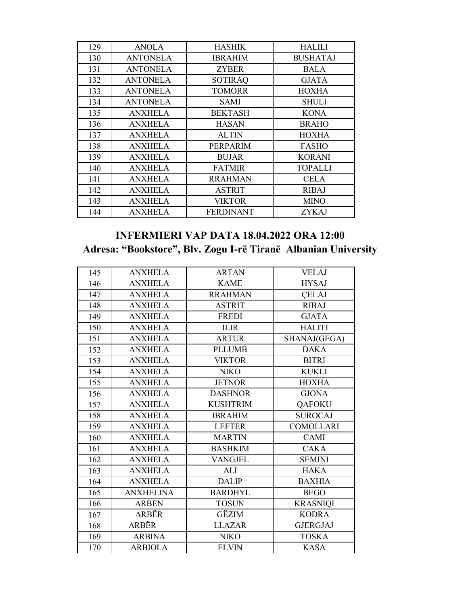| 129 | <b>ANOLA</b>    | <b>HASHIK</b>    | <b>HALILI</b>   |
|-----|-----------------|------------------|-----------------|
| 130 | <b>ANTONELA</b> | <b>IBRAHIM</b>   | <b>BUSHATAJ</b> |
| 131 | <b>ANTONELA</b> | <b>ZYBER</b>     | <b>BALA</b>     |
| 132 | <b>ANTONELA</b> | <b>SOTIRAQ</b>   | <b>GJATA</b>    |
| 133 | <b>ANTONELA</b> | <b>TOMORR</b>    | <b>HOXHA</b>    |
| 134 | <b>ANTONELA</b> | <b>SAMI</b>      | <b>SHULI</b>    |
| 135 | <b>ANXHELA</b>  | <b>BEKTASH</b>   | <b>KONA</b>     |
| 136 | <b>ANXHELA</b>  | <b>HASAN</b>     | <b>BRAHO</b>    |
| 137 | <b>ANXHELA</b>  | <b>ALTIN</b>     | <b>HOXHA</b>    |
| 138 | <b>ANXHELA</b>  | <b>PERPARIM</b>  | <b>FASHO</b>    |
| 139 | <b>ANXHELA</b>  | <b>BUJAR</b>     | <b>KORANI</b>   |
| 140 | <b>ANXHELA</b>  | <b>FATMIR</b>    | TOPALLI         |
| 141 | <b>ANXHELA</b>  | <b>RRAHMAN</b>   | <b>CELA</b>     |
| 142 | <b>ANXHELA</b>  | <b>ASTRIT</b>    | <b>RIBAJ</b>    |
| 143 | <b>ANXHELA</b>  | <b>VIKTOR</b>    | <b>MINO</b>     |
| 144 | <b>ANXHELA</b>  | <b>FERDINANT</b> | <b>ZYKAJ</b>    |

#### **INFERMIERI VAP DATA 18.04.2022 ORA 12:00 Adresa: "Bookstore", Blv. Zogu I-rë Tiranë Albanian University**

| 145 | <b>ANXHELA</b>   | <b>ARTAN</b>    | <b>VELAJ</b>     |
|-----|------------------|-----------------|------------------|
| 146 | <b>ANXHELA</b>   | <b>KAME</b>     | <b>HYSAJ</b>     |
| 147 | <b>ANXHELA</b>   | <b>RRAHMAN</b>  | <b>CELAJ</b>     |
| 148 | <b>ANXHELA</b>   | <b>ASTRIT</b>   | <b>RIBAJ</b>     |
| 149 | <b>ANXHELA</b>   | <b>FREDI</b>    | <b>GJATA</b>     |
| 150 | <b>ANXHELA</b>   | <b>ILIR</b>     | <b>HALITI</b>    |
| 151 | <b>ANXHELA</b>   | <b>ARTUR</b>    | SHANAJ(GEGA)     |
| 152 | <b>ANXHELA</b>   | <b>PLLUMB</b>   | <b>DAKA</b>      |
| 153 | <b>ANXHELA</b>   | <b>VIKTOR</b>   | <b>BITRI</b>     |
| 154 | <b>ANXHELA</b>   | <b>NIKO</b>     | <b>KUKLI</b>     |
| 155 | <b>ANXHELA</b>   | <b>JETNOR</b>   | <b>HOXHA</b>     |
| 156 | <b>ANXHELA</b>   | <b>DASHNOR</b>  | <b>GJONA</b>     |
| 157 | <b>ANXHELA</b>   | <b>KUSHTRIM</b> | QAFOKU           |
| 158 | <b>ANXHELA</b>   | <b>IBRAHIM</b>  | <b>SUROCAJ</b>   |
| 159 | <b>ANXHELA</b>   | <b>LEFTER</b>   | <b>COMOLLARI</b> |
| 160 | <b>ANXHELA</b>   | <b>MARTIN</b>   | <b>CAMI</b>      |
| 161 | <b>ANXHELA</b>   | <b>BASHKIM</b>  | <b>CAKA</b>      |
| 162 | <b>ANXHELA</b>   | <b>VANGJEL</b>  | <b>SEMINI</b>    |
| 163 | <b>ANXHELA</b>   | ALI             | <b>HAKA</b>      |
| 164 | <b>ANXHELA</b>   | <b>DALIP</b>    | <b>BAXHIA</b>    |
| 165 | <b>ANXHELINA</b> | <b>BARDHYL</b>  | <b>BEGO</b>      |
| 166 | <b>ARBEN</b>     | <b>TOSUN</b>    | <b>KRASNIQI</b>  |
| 167 | ARBËR            | GËZIM           | <b>KODRA</b>     |
| 168 | ARBËR            | <b>LLAZAR</b>   | <b>GJERGJAJ</b>  |
| 169 | <b>ARBINA</b>    | <b>NIKO</b>     | <b>TOSKA</b>     |
| 170 | <b>ARBIOLA</b>   | <b>ELVIN</b>    | <b>KASA</b>      |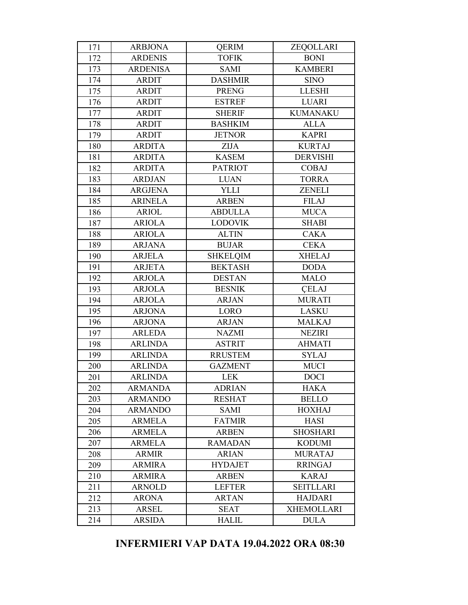| 171 | <b>ARBJONA</b>  | <b>QERIM</b>    | ZEQOLLARI         |
|-----|-----------------|-----------------|-------------------|
| 172 | <b>ARDENIS</b>  | <b>TOFIK</b>    | <b>BONI</b>       |
| 173 | <b>ARDENISA</b> | <b>SAMI</b>     | <b>KAMBERI</b>    |
| 174 | <b>ARDIT</b>    | <b>DASHMIR</b>  | <b>SINO</b>       |
| 175 | <b>ARDIT</b>    | <b>PRENG</b>    | <b>LLESHI</b>     |
| 176 | <b>ARDIT</b>    | <b>ESTREF</b>   | <b>LUARI</b>      |
| 177 | <b>ARDIT</b>    | <b>SHERIF</b>   | <b>KUMANAKU</b>   |
| 178 | <b>ARDIT</b>    | <b>BASHKIM</b>  | <b>ALLA</b>       |
| 179 | <b>ARDIT</b>    | <b>JETNOR</b>   | <b>KAPRI</b>      |
| 180 | <b>ARDITA</b>   | <b>ZIJA</b>     | <b>KURTAJ</b>     |
| 181 | <b>ARDITA</b>   | <b>KASEM</b>    | <b>DERVISHI</b>   |
| 182 | <b>ARDITA</b>   | <b>PATRIOT</b>  | <b>COBAJ</b>      |
| 183 | <b>ARDJAN</b>   | <b>LUAN</b>     | <b>TORRA</b>      |
| 184 | <b>ARGJENA</b>  | <b>YLLI</b>     | <b>ZENELI</b>     |
| 185 | <b>ARINELA</b>  | <b>ARBEN</b>    | <b>FILAJ</b>      |
| 186 | <b>ARIOL</b>    | <b>ABDULLA</b>  | <b>MUCA</b>       |
| 187 | <b>ARIOLA</b>   | <b>LODOVIK</b>  | <b>SHABI</b>      |
| 188 | <b>ARIOLA</b>   | <b>ALTIN</b>    | <b>CAKA</b>       |
| 189 | <b>ARJANA</b>   | <b>BUJAR</b>    | <b>CEKA</b>       |
| 190 | <b>ARJELA</b>   | <b>SHKELQIM</b> | <b>XHELAJ</b>     |
| 191 | <b>ARJETA</b>   | <b>BEKTASH</b>  | <b>DODA</b>       |
| 192 | <b>ARJOLA</b>   | <b>DESTAN</b>   | <b>MALO</b>       |
| 193 | <b>ARJOLA</b>   | <b>BESNIK</b>   | <b>CELAJ</b>      |
| 194 | <b>ARJOLA</b>   | <b>ARJAN</b>    | <b>MURATI</b>     |
| 195 | <b>ARJONA</b>   | LORO            | <b>LASKU</b>      |
| 196 | <b>ARJONA</b>   | <b>ARJAN</b>    | <b>MALKAJ</b>     |
| 197 | <b>ARLEDA</b>   | <b>NAZMI</b>    | <b>NEZIRI</b>     |
| 198 | <b>ARLINDA</b>  | <b>ASTRIT</b>   | <b>AHMATI</b>     |
| 199 | <b>ARLINDA</b>  | <b>RRUSTEM</b>  | <b>SYLAJ</b>      |
| 200 | <b>ARLINDA</b>  | <b>GAZMENT</b>  | <b>MUCI</b>       |
| 201 | <b>ARLINDA</b>  | <b>LEK</b>      | <b>DOCI</b>       |
| 202 | <b>ARMANDA</b>  | <b>ADRIAN</b>   | <b>HAKA</b>       |
| 203 | <b>ARMANDO</b>  | <b>RESHAT</b>   | <b>BELLO</b>      |
| 204 | <b>ARMANDO</b>  | <b>SAMI</b>     | <b>HOXHAJ</b>     |
| 205 | <b>ARMELA</b>   | <b>FATMIR</b>   | <b>HASI</b>       |
| 206 | <b>ARMELA</b>   | <b>ARBEN</b>    | <b>SHOSHARI</b>   |
| 207 | <b>ARMELA</b>   | <b>RAMADAN</b>  | <b>KODUMI</b>     |
| 208 | <b>ARMIR</b>    | <b>ARIAN</b>    | <b>MURATAJ</b>    |
| 209 | <b>ARMIRA</b>   | <b>HYDAJET</b>  | <b>RRINGAJ</b>    |
| 210 | <b>ARMIRA</b>   | <b>ARBEN</b>    | <b>KARAJ</b>      |
| 211 | <b>ARNOLD</b>   | <b>LEFTER</b>   | <b>SEITLLARI</b>  |
| 212 | <b>ARONA</b>    | <b>ARTAN</b>    | <b>HAJDARI</b>    |
| 213 | <b>ARSEL</b>    | <b>SEAT</b>     | <b>XHEMOLLARI</b> |
| 214 | <b>ARSIDA</b>   | <b>HALIL</b>    | <b>DULA</b>       |

#### **INFERMIERI VAP DATA 19.04.2022 ORA 08:30**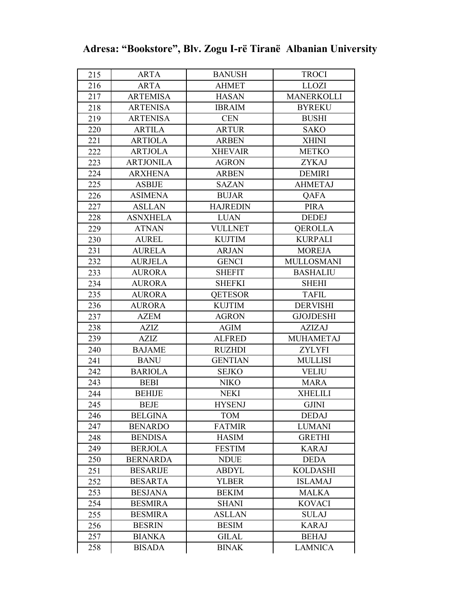| 215 | <b>ARTA</b>      | <b>BANUSH</b>   | <b>TROCI</b>      |
|-----|------------------|-----------------|-------------------|
| 216 | <b>ARTA</b>      | <b>AHMET</b>    | <b>LLOZI</b>      |
| 217 | <b>ARTEMISA</b>  | <b>HASAN</b>    | <b>MANERKOLLI</b> |
| 218 | <b>ARTENISA</b>  | <b>IBRAIM</b>   | <b>BYREKU</b>     |
| 219 | <b>ARTENISA</b>  | <b>CEN</b>      | <b>BUSHI</b>      |
| 220 | <b>ARTILA</b>    | <b>ARTUR</b>    | <b>SAKO</b>       |
| 221 | <b>ARTIOLA</b>   | <b>ARBEN</b>    | <b>XHINI</b>      |
| 222 | <b>ARTJOLA</b>   | <b>XHEVAIR</b>  | <b>METKO</b>      |
| 223 | <b>ARTJONILA</b> | <b>AGRON</b>    | <b>ZYKAJ</b>      |
| 224 | <b>ARXHENA</b>   | <b>ARBEN</b>    | <b>DEMIRI</b>     |
| 225 | <b>ASBIJE</b>    | <b>SAZAN</b>    | <b>AHMETAJ</b>    |
| 226 | <b>ASIMENA</b>   | <b>BUJAR</b>    | <b>QAFA</b>       |
| 227 | <b>ASLLAN</b>    | <b>HAJREDIN</b> | <b>PIRA</b>       |
| 228 | <b>ASNXHELA</b>  | <b>LUAN</b>     | <b>DEDEJ</b>      |
| 229 | <b>ATNAN</b>     | <b>VULLNET</b>  | <b>QEROLLA</b>    |
| 230 | <b>AUREL</b>     | <b>KUJTIM</b>   | <b>KURPALI</b>    |
| 231 | <b>AURELA</b>    | <b>ARJAN</b>    | <b>MOREJA</b>     |
| 232 | <b>AURJELA</b>   | <b>GENCI</b>    | <b>MULLOSMANI</b> |
| 233 | <b>AURORA</b>    | <b>SHEFIT</b>   | <b>BASHALIU</b>   |
| 234 | <b>AURORA</b>    | <b>SHEFKI</b>   | <b>SHEHI</b>      |
| 235 | <b>AURORA</b>    | <b>QETESOR</b>  | <b>TAFIL</b>      |
| 236 | <b>AURORA</b>    | <b>KUJTIM</b>   | <b>DERVISHI</b>   |
| 237 | <b>AZEM</b>      | <b>AGRON</b>    | <b>GJOJDESHI</b>  |
| 238 | <b>AZIZ</b>      | <b>AGIM</b>     | <b>AZIZAJ</b>     |
| 239 | <b>AZIZ</b>      | <b>ALFRED</b>   | <b>MUHAMETAJ</b>  |
| 240 | <b>BAJAME</b>    | <b>RUZHDI</b>   | <b>ZYLYFI</b>     |
| 241 | <b>BANU</b>      | <b>GENTIAN</b>  | <b>MULLISI</b>    |
| 242 | <b>BARIOLA</b>   | <b>SEJKO</b>    | <b>VELIU</b>      |
| 243 | <b>BEBI</b>      | <b>NIKO</b>     | <b>MARA</b>       |
| 244 | <b>BEHIJE</b>    | <b>NEKI</b>     | <b>XHELILI</b>    |
| 245 | <b>BEJE</b>      | <b>HYSENJ</b>   | <b>GJINI</b>      |
| 246 | <b>BELGINA</b>   | <b>TOM</b>      | <b>DEDAJ</b>      |
| 247 | <b>BENARDO</b>   | <b>FATMIR</b>   | <b>LUMANI</b>     |
| 248 | <b>BENDISA</b>   | <b>HASIM</b>    | <b>GRETHI</b>     |
| 249 | <b>BERJOLA</b>   | <b>FESTIM</b>   | <b>KARAJ</b>      |
| 250 | <b>BERNARDA</b>  | <b>NDUE</b>     | <b>DEDA</b>       |
| 251 | <b>BESARIJE</b>  | <b>ABDYL</b>    | <b>KOLDASHI</b>   |
| 252 | <b>BESARTA</b>   | <b>YLBER</b>    | <b>ISLAMAJ</b>    |
| 253 | <b>BESJANA</b>   | <b>BEKIM</b>    | <b>MALKA</b>      |
| 254 | <b>BESMIRA</b>   | <b>SHANI</b>    | <b>KOVACI</b>     |
| 255 | <b>BESMIRA</b>   | <b>ASLLAN</b>   | <b>SULAJ</b>      |
| 256 | <b>BESRIN</b>    | <b>BESIM</b>    | <b>KARAJ</b>      |
| 257 | <b>BIANKA</b>    | <b>GILAL</b>    | <b>BEHAJ</b>      |
| 258 | <b>BISADA</b>    | <b>BINAK</b>    | <b>LAMNICA</b>    |

|  | Adresa: "Bookstore", Blv. Zogu I-rë Tiranë Albanian University |  |  |  |  |
|--|----------------------------------------------------------------|--|--|--|--|
|--|----------------------------------------------------------------|--|--|--|--|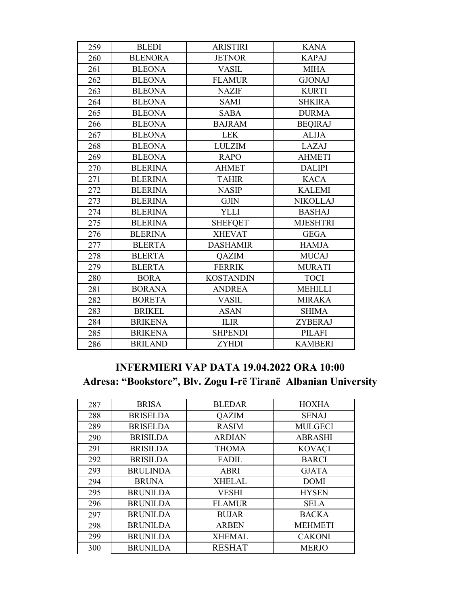| 259 | <b>BLEDI</b>   | <b>ARISTIRI</b>  | <b>KANA</b>     |
|-----|----------------|------------------|-----------------|
| 260 | <b>BLENORA</b> | <b>JETNOR</b>    | <b>KAPAJ</b>    |
| 261 | <b>BLEONA</b>  | <b>VASIL</b>     | <b>MIHA</b>     |
| 262 | <b>BLEONA</b>  | <b>FLAMUR</b>    | <b>GJONAJ</b>   |
| 263 | <b>BLEONA</b>  | <b>NAZIF</b>     | <b>KURTI</b>    |
| 264 | <b>BLEONA</b>  | <b>SAMI</b>      | <b>SHKIRA</b>   |
| 265 | <b>BLEONA</b>  | <b>SABA</b>      | <b>DURMA</b>    |
| 266 | <b>BLEONA</b>  | <b>BAJRAM</b>    | <b>BEQIRAJ</b>  |
| 267 | <b>BLEONA</b>  | <b>LEK</b>       | <b>ALIJA</b>    |
| 268 | <b>BLEONA</b>  | <b>LULZIM</b>    | LAZAJ           |
| 269 | <b>BLEONA</b>  | <b>RAPO</b>      | <b>AHMETI</b>   |
| 270 | <b>BLERINA</b> | <b>AHMET</b>     | <b>DALIPI</b>   |
| 271 | <b>BLERINA</b> | <b>TAHIR</b>     | <b>KACA</b>     |
| 272 | <b>BLERINA</b> | <b>NASIP</b>     | <b>KALEMI</b>   |
| 273 | <b>BLERINA</b> | <b>GJIN</b>      | <b>NIKOLLAJ</b> |
| 274 | <b>BLERINA</b> | <b>YLLI</b>      | <b>BASHAJ</b>   |
| 275 | <b>BLERINA</b> | <b>SHEFQET</b>   | <b>MJESHTRI</b> |
| 276 | <b>BLERINA</b> | <b>XHEVAT</b>    | <b>GEGA</b>     |
| 277 | <b>BLERTA</b>  | <b>DASHAMIR</b>  | <b>HAMJA</b>    |
| 278 | <b>BLERTA</b>  | <b>QAZIM</b>     | <b>MUCAJ</b>    |
| 279 | <b>BLERTA</b>  | <b>FERRIK</b>    | <b>MURATI</b>   |
| 280 | <b>BORA</b>    | <b>KOSTANDIN</b> | <b>TOCI</b>     |
| 281 | <b>BORANA</b>  | <b>ANDREA</b>    | <b>MEHILLI</b>  |
| 282 | <b>BORETA</b>  | <b>VASIL</b>     | <b>MIRAKA</b>   |
| 283 | <b>BRIKEL</b>  | <b>ASAN</b>      | <b>SHIMA</b>    |
| 284 | <b>BRIKENA</b> | <b>ILIR</b>      | <b>ZYBERAJ</b>  |
| 285 | <b>BRIKENA</b> | <b>SHPENDI</b>   | <b>PILAFI</b>   |
| 286 | <b>BRILAND</b> | <b>ZYHDI</b>     | <b>KAMBERI</b>  |

### **INFERMIERI VAP DATA 19.04.2022 ORA 10:00** Adresa: "Bookstore", Blv. Zogu I-rë Tiranë Albanian University

| 287 | <b>BRISA</b>    | <b>BLEDAR</b> | <b>HOXHA</b>   |
|-----|-----------------|---------------|----------------|
| 288 | <b>BRISELDA</b> | <b>QAZIM</b>  | <b>SENAJ</b>   |
| 289 | <b>BRISELDA</b> | <b>RASIM</b>  | <b>MULGECI</b> |
| 290 | <b>BRISILDA</b> | <b>ARDIAN</b> | <b>ABRASHI</b> |
| 291 | <b>BRISILDA</b> | <b>THOMA</b>  | <b>KOVAÇI</b>  |
| 292 | <b>BRISILDA</b> | <b>FADIL</b>  | <b>BARCI</b>   |
| 293 | <b>BRULINDA</b> | <b>ABRI</b>   | <b>GJATA</b>   |
| 294 | <b>BRUNA</b>    | <b>XHELAL</b> | <b>DOMI</b>    |
| 295 | <b>BRUNILDA</b> | <b>VESHI</b>  | <b>HYSEN</b>   |
| 296 | <b>BRUNILDA</b> | <b>FLAMUR</b> | <b>SELA</b>    |
| 297 | <b>BRUNILDA</b> | <b>BUJAR</b>  | <b>BACKA</b>   |
| 298 | <b>BRUNILDA</b> | <b>ARBEN</b>  | <b>MEHMETI</b> |
| 299 | <b>BRUNILDA</b> | <b>XHEMAL</b> | <b>CAKONI</b>  |
| 300 | <b>BRUNILDA</b> | <b>RESHAT</b> | <b>MERJO</b>   |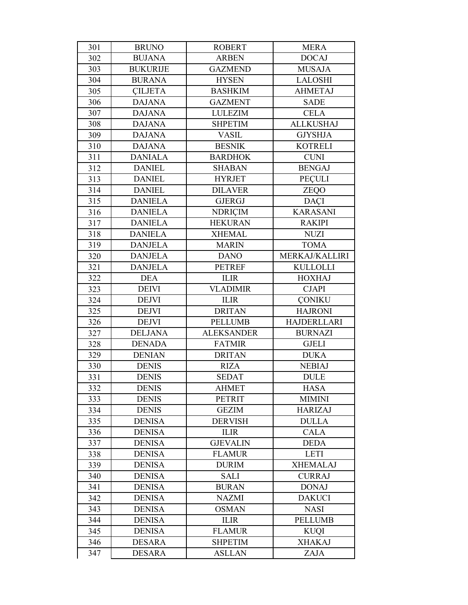| 301 | <b>BRUNO</b>    | <b>ROBERT</b>     | <b>MERA</b>        |
|-----|-----------------|-------------------|--------------------|
| 302 | <b>BUJANA</b>   | <b>ARBEN</b>      | <b>DOCAJ</b>       |
| 303 | <b>BUKURIJE</b> | <b>GAZMEND</b>    | <b>MUSAJA</b>      |
| 304 | <b>BURANA</b>   | <b>HYSEN</b>      | <b>LALOSHI</b>     |
| 305 | <b>CILJETA</b>  | <b>BASHKIM</b>    | <b>AHMETAJ</b>     |
| 306 | <b>DAJANA</b>   | <b>GAZMENT</b>    | <b>SADE</b>        |
| 307 | <b>DAJANA</b>   | <b>LULEZIM</b>    | <b>CELA</b>        |
| 308 | <b>DAJANA</b>   | <b>SHPETIM</b>    | <b>ALLKUSHAJ</b>   |
| 309 | <b>DAJANA</b>   | <b>VASIL</b>      | <b>GJYSHJA</b>     |
| 310 | <b>DAJANA</b>   | <b>BESNIK</b>     | <b>KOTRELI</b>     |
| 311 | <b>DANIALA</b>  | <b>BARDHOK</b>    | <b>CUNI</b>        |
| 312 | <b>DANIEL</b>   | <b>SHABAN</b>     | <b>BENGAJ</b>      |
| 313 | <b>DANIEL</b>   | <b>HYRJET</b>     | PEÇULI             |
| 314 | <b>DANIEL</b>   | <b>DILAVER</b>    | ZEQO               |
| 315 | <b>DANIELA</b>  | <b>GJERGJ</b>     | <b>DAÇI</b>        |
| 316 | <b>DANIELA</b>  | <b>NDRIÇIM</b>    | <b>KARASANI</b>    |
| 317 | <b>DANIELA</b>  | <b>HEKURAN</b>    | <b>RAKIPI</b>      |
| 318 | <b>DANIELA</b>  | <b>XHEMAL</b>     | <b>NUZI</b>        |
| 319 | <b>DANJELA</b>  | <b>MARIN</b>      | <b>TOMA</b>        |
| 320 | <b>DANJELA</b>  | <b>DANO</b>       | MERKAJ/KALLIRI     |
| 321 | <b>DANJELA</b>  | <b>PETREF</b>     | <b>KULLOLLI</b>    |
| 322 | <b>DEA</b>      | <b>ILIR</b>       | <b>HOXHAJ</b>      |
| 323 | <b>DEIVI</b>    | <b>VLADIMIR</b>   | <b>CJAPI</b>       |
| 324 | <b>DEJVI</b>    | <b>ILIR</b>       | <b>CONIKU</b>      |
| 325 | <b>DEJVI</b>    | <b>DRITAN</b>     | <b>HAJRONI</b>     |
| 326 | <b>DEJVI</b>    | <b>PELLUMB</b>    | <b>HAJDERLLARI</b> |
| 327 | <b>DELJANA</b>  | <b>ALEKSANDER</b> | <b>BURNAZI</b>     |
| 328 | <b>DENADA</b>   | <b>FATMIR</b>     | <b>GJELI</b>       |
| 329 | <b>DENIAN</b>   | <b>DRITAN</b>     | <b>DUKA</b>        |
| 330 | <b>DENIS</b>    | <b>RIZA</b>       | <b>NEBIAJ</b>      |
| 331 | <b>DENIS</b>    | <b>SEDAT</b>      | <b>DULE</b>        |
| 332 | <b>DENIS</b>    | <b>AHMET</b>      | <b>HASA</b>        |
| 333 | <b>DENIS</b>    | <b>PETRIT</b>     | <b>MIMINI</b>      |
| 334 | <b>DENIS</b>    | <b>GEZIM</b>      | <b>HARIZAJ</b>     |
| 335 | <b>DENISA</b>   | <b>DERVISH</b>    | <b>DULLA</b>       |
| 336 | <b>DENISA</b>   | <b>ILIR</b>       | <b>CALA</b>        |
| 337 | <b>DENISA</b>   | <b>GJEVALIN</b>   | <b>DEDA</b>        |
| 338 | <b>DENISA</b>   | <b>FLAMUR</b>     | <b>LETI</b>        |
| 339 | <b>DENISA</b>   | <b>DURIM</b>      | <b>XHEMALAJ</b>    |
| 340 | <b>DENISA</b>   | <b>SALI</b>       | <b>CURRAJ</b>      |
| 341 | <b>DENISA</b>   | <b>BURAN</b>      | <b>DONAJ</b>       |
| 342 | <b>DENISA</b>   | <b>NAZMI</b>      | <b>DAKUCI</b>      |
| 343 | <b>DENISA</b>   | <b>OSMAN</b>      | <b>NASI</b>        |
| 344 | <b>DENISA</b>   | <b>ILIR</b>       | <b>PELLUMB</b>     |
| 345 | <b>DENISA</b>   | <b>FLAMUR</b>     | <b>KUQI</b>        |
| 346 | <b>DESARA</b>   | <b>SHPETIM</b>    | <b>XHAKAJ</b>      |
| 347 | <b>DESARA</b>   | <b>ASLLAN</b>     | <b>ZAJA</b>        |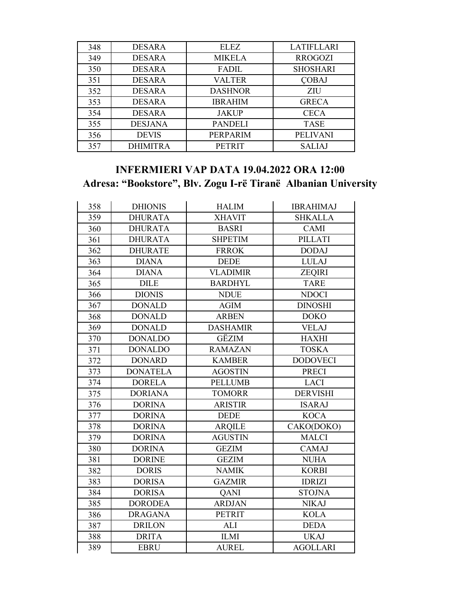| 348 | <b>DESARA</b>   | <b>ELEZ</b>    | <b>LATIFLLARI</b> |
|-----|-----------------|----------------|-------------------|
| 349 | <b>DESARA</b>   | <b>MIKELA</b>  | <b>RROGOZI</b>    |
| 350 | <b>DESARA</b>   | <b>FADIL</b>   | <b>SHOSHARI</b>   |
| 351 | <b>DESARA</b>   | VALTER         | <b>COBAJ</b>      |
| 352 | <b>DESARA</b>   | <b>DASHNOR</b> | ZIU               |
| 353 | <b>DESARA</b>   | <b>IBRAHIM</b> | <b>GRECA</b>      |
| 354 | <b>DESARA</b>   | <b>JAKUP</b>   | <b>CECA</b>       |
| 355 | <b>DESJANA</b>  | <b>PANDELI</b> | <b>TASE</b>       |
| 356 | <b>DEVIS</b>    | PERPARIM       | <b>PELIVANI</b>   |
| 357 | <b>DHIMITRA</b> | <b>PETRIT</b>  | <b>SALIAJ</b>     |

#### **INFERMIERI VAP DATA 19.04.2022 ORA 12:00** Adresa: "Bookstore", Blv. Zogu I-rë Tiranë Albanian University

| 358 | <b>DHIONIS</b>  | <b>HALIM</b>    | <b>IBRAHIMAJ</b> |
|-----|-----------------|-----------------|------------------|
| 359 | <b>DHURATA</b>  | <b>XHAVIT</b>   | <b>SHKALLA</b>   |
| 360 | <b>DHURATA</b>  | <b>BASRI</b>    | <b>CAMI</b>      |
| 361 | <b>DHURATA</b>  | <b>SHPETIM</b>  | <b>PILLATI</b>   |
| 362 | <b>DHURATE</b>  | <b>FRROK</b>    | <b>DODAJ</b>     |
| 363 | <b>DIANA</b>    | <b>DEDE</b>     | <b>LULAJ</b>     |
| 364 | <b>DIANA</b>    | <b>VLADIMIR</b> | <b>ZEQIRI</b>    |
| 365 | <b>DILE</b>     | <b>BARDHYL</b>  | <b>TARE</b>      |
| 366 | <b>DIONIS</b>   | <b>NDUE</b>     | <b>NDOCI</b>     |
| 367 | <b>DONALD</b>   | <b>AGIM</b>     | <b>DINOSHI</b>   |
| 368 | <b>DONALD</b>   | <b>ARBEN</b>    | <b>DOKO</b>      |
| 369 | <b>DONALD</b>   | <b>DASHAMIR</b> | <b>VELAJ</b>     |
| 370 | <b>DONALDO</b>  | GËZIM           | <b>HAXHI</b>     |
| 371 | <b>DONALDO</b>  | <b>RAMAZAN</b>  | <b>TOSKA</b>     |
| 372 | <b>DONARD</b>   | <b>KAMBER</b>   | <b>DODOVECI</b>  |
| 373 | <b>DONATELA</b> | <b>AGOSTIN</b>  | <b>PRECI</b>     |
| 374 | <b>DORELA</b>   | <b>PELLUMB</b>  | <b>LACI</b>      |
| 375 | <b>DORIANA</b>  | <b>TOMORR</b>   | <b>DERVISHI</b>  |
| 376 | <b>DORINA</b>   | <b>ARISTIR</b>  | <b>ISARAJ</b>    |
| 377 | <b>DORINA</b>   | <b>DEDE</b>     | <b>KOCA</b>      |
| 378 | <b>DORINA</b>   | <b>ARQILE</b>   | CAKO(DOKO)       |
| 379 | <b>DORINA</b>   | <b>AGUSTIN</b>  | <b>MALCI</b>     |
| 380 | <b>DORINA</b>   | <b>GEZIM</b>    | <b>CAMAJ</b>     |
| 381 | <b>DORINE</b>   | <b>GEZIM</b>    | <b>NUHA</b>      |
| 382 | <b>DORIS</b>    | <b>NAMIK</b>    | <b>KORBI</b>     |
| 383 | <b>DORISA</b>   | <b>GAZMIR</b>   | <b>IDRIZI</b>    |
| 384 | <b>DORISA</b>   | <b>QANI</b>     | <b>STOJNA</b>    |
| 385 | <b>DORODEA</b>  | <b>ARDJAN</b>   | <b>NIKAJ</b>     |
| 386 | <b>DRAGANA</b>  | <b>PETRIT</b>   | <b>KOLA</b>      |
| 387 | <b>DRILON</b>   | <b>ALI</b>      | <b>DEDA</b>      |
| 388 | <b>DRITA</b>    | <b>ILMI</b>     | <b>UKAJ</b>      |
| 389 | <b>EBRU</b>     | <b>AUREL</b>    | <b>AGOLLARI</b>  |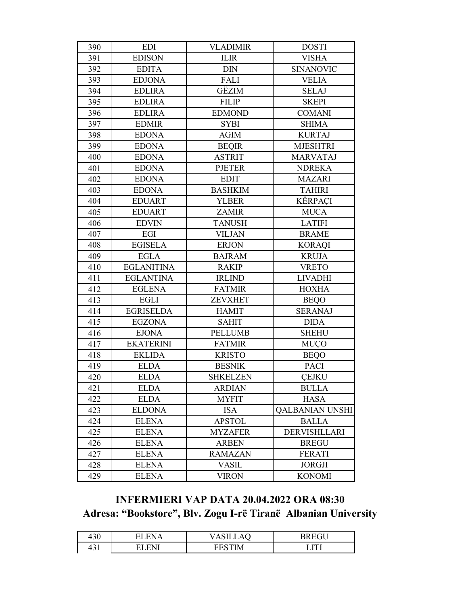| 390 | <b>EDI</b>        | <b>VLADIMIR</b> | <b>DOSTI</b>           |
|-----|-------------------|-----------------|------------------------|
| 391 | <b>EDISON</b>     | $\mbox{ILIR}$   | <b>VISHA</b>           |
| 392 | <b>EDITA</b>      | <b>DIN</b>      | <b>SINANOVIC</b>       |
| 393 | <b>EDJONA</b>     | FALI            | <b>VELIA</b>           |
| 394 | <b>EDLIRA</b>     | GËZIM           | <b>SELAJ</b>           |
| 395 | <b>EDLIRA</b>     | <b>FILIP</b>    | <b>SKEPI</b>           |
| 396 | <b>EDLIRA</b>     | <b>EDMOND</b>   | <b>COMANI</b>          |
| 397 | <b>EDMIR</b>      | <b>SYBI</b>     | <b>SHIMA</b>           |
| 398 | <b>EDONA</b>      | <b>AGIM</b>     | <b>KURTAJ</b>          |
| 399 | <b>EDONA</b>      | <b>BEQIR</b>    | <b>MJESHTRI</b>        |
| 400 | <b>EDONA</b>      | <b>ASTRIT</b>   | <b>MARVATAJ</b>        |
| 401 | <b>EDONA</b>      | <b>PJETER</b>   | <b>NDREKA</b>          |
| 402 | <b>EDONA</b>      | <b>EDIT</b>     | <b>MAZARI</b>          |
| 403 | <b>EDONA</b>      | <b>BASHKIM</b>  | <b>TAHIRI</b>          |
| 404 | <b>EDUART</b>     | <b>YLBER</b>    | KËRPAÇI                |
| 405 | <b>EDUART</b>     | <b>ZAMIR</b>    | <b>MUCA</b>            |
| 406 | <b>EDVIN</b>      | <b>TANUSH</b>   | <b>LATIFI</b>          |
| 407 | EGI               | <b>VILJAN</b>   | <b>BRAME</b>           |
| 408 | <b>EGISELA</b>    | <b>ERJON</b>    | <b>KORAQI</b>          |
| 409 | <b>EGLA</b>       | <b>BAJRAM</b>   | <b>KRUJA</b>           |
| 410 | <b>EGLANITINA</b> | <b>RAKIP</b>    | <b>VRETO</b>           |
| 411 | <b>EGLANTINA</b>  | <b>IRLIND</b>   | <b>LIVADHI</b>         |
| 412 | <b>EGLENA</b>     | <b>FATMIR</b>   | <b>HOXHA</b>           |
| 413 | <b>EGLI</b>       | <b>ZEVXHET</b>  | <b>BEQO</b>            |
| 414 | <b>EGRISELDA</b>  | <b>HAMIT</b>    | <b>SERANAJ</b>         |
| 415 | <b>EGZONA</b>     | <b>SAHIT</b>    | <b>DIDA</b>            |
| 416 | <b>EJONA</b>      | <b>PELLUMB</b>  | <b>SHEHU</b>           |
| 417 | <b>EKATERINI</b>  | <b>FATMIR</b>   | <b>MUÇO</b>            |
| 418 | <b>EKLIDA</b>     | <b>KRISTO</b>   | <b>BEQO</b>            |
| 419 | <b>ELDA</b>       | <b>BESNIK</b>   | <b>PACI</b>            |
| 420 | <b>ELDA</b>       | <b>SHKELZEN</b> | <b>CEJKU</b>           |
| 421 | <b>ELDA</b>       | <b>ARDIAN</b>   | <b>BULLA</b>           |
| 422 | <b>ELDA</b>       | <b>MYFIT</b>    | <b>HASA</b>            |
| 423 | <b>ELDONA</b>     | <b>ISA</b>      | <b>QALBANIAN UNSHI</b> |
| 424 | <b>ELENA</b>      | <b>APSTOL</b>   | <b>BALLA</b>           |
| 425 | <b>ELENA</b>      | <b>MYZAFER</b>  | <b>DERVISHLLARI</b>    |
| 426 | <b>ELENA</b>      | <b>ARBEN</b>    | <b>BREGU</b>           |
| 427 | <b>ELENA</b>      | <b>RAMAZAN</b>  | <b>FERATI</b>          |
| 428 | <b>ELENA</b>      | <b>VASIL</b>    | <b>JORGJI</b>          |
| 429 | <b>ELENA</b>      | <b>VIRON</b>    | <b>KONOMI</b>          |

# **INFERMIERI VAP DATA 20.04.2022 ORA 08:30** Adresa: "Bookstore", Blv. Zogu I-rë Tiranë Albanian University

| 430 | - | $\tilde{\phantom{a}}$ |
|-----|---|-----------------------|
| 431 |   |                       |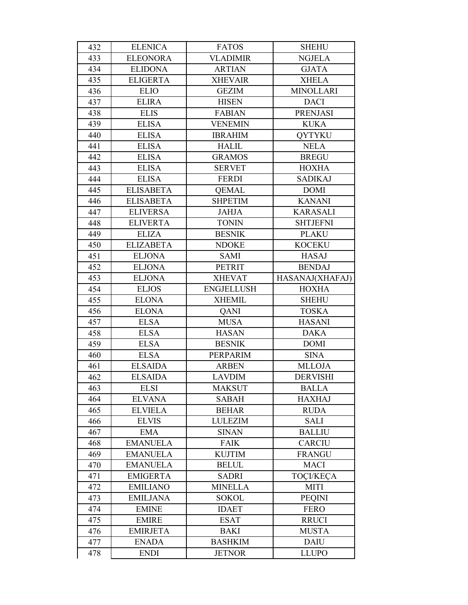| 432 | <b>ELENICA</b>   | <b>FATOS</b>      | <b>SHEHU</b>     |
|-----|------------------|-------------------|------------------|
| 433 | <b>ELEONORA</b>  | <b>VLADIMIR</b>   | <b>NGJELA</b>    |
| 434 | <b>ELIDONA</b>   | <b>ARTIAN</b>     | <b>GJATA</b>     |
| 435 | <b>ELIGERTA</b>  | <b>XHEVAIR</b>    | <b>XHELA</b>     |
| 436 | <b>ELIO</b>      | <b>GEZIM</b>      | <b>MINOLLARI</b> |
| 437 | <b>ELIRA</b>     | <b>HISEN</b>      | <b>DACI</b>      |
| 438 | <b>ELIS</b>      | <b>FABIAN</b>     | <b>PRENJASI</b>  |
| 439 | <b>ELISA</b>     | <b>VENEMIN</b>    | <b>KUKA</b>      |
| 440 | <b>ELISA</b>     | <b>IBRAHIM</b>    | <b>OYTYKU</b>    |
| 441 | <b>ELISA</b>     | <b>HALIL</b>      | <b>NELA</b>      |
| 442 | <b>ELISA</b>     | <b>GRAMOS</b>     | <b>BREGU</b>     |
| 443 | <b>ELISA</b>     | <b>SERVET</b>     | <b>HOXHA</b>     |
| 444 | <b>ELISA</b>     | <b>FERDI</b>      | <b>SADIKAJ</b>   |
| 445 | <b>ELISABETA</b> | <b>QEMAL</b>      | <b>DOMI</b>      |
| 446 | <b>ELISABETA</b> | <b>SHPETIM</b>    | <b>KANANI</b>    |
| 447 | <b>ELIVERSA</b>  | <b>JAHJA</b>      | <b>KARASALI</b>  |
| 448 | <b>ELIVERTA</b>  | <b>TONIN</b>      | <b>SHTJEFNI</b>  |
| 449 | <b>ELIZA</b>     | <b>BESNIK</b>     | <b>PLAKU</b>     |
| 450 | <b>ELIZABETA</b> | <b>NDOKE</b>      | <b>KOCEKU</b>    |
| 451 | <b>ELJONA</b>    | <b>SAMI</b>       | <b>HASAJ</b>     |
| 452 | <b>ELJONA</b>    | <b>PETRIT</b>     | <b>BENDAJ</b>    |
| 453 | <b>ELJONA</b>    | <b>XHEVAT</b>     | HASANAJ(XHAFAJ)  |
| 454 | <b>ELJOS</b>     | <b>ENGJELLUSH</b> | <b>HOXHA</b>     |
| 455 | <b>ELONA</b>     | <b>XHEMIL</b>     | <b>SHEHU</b>     |
| 456 | <b>ELONA</b>     | QANI              | <b>TOSKA</b>     |
| 457 | <b>ELSA</b>      | <b>MUSA</b>       | <b>HASANI</b>    |
| 458 | <b>ELSA</b>      | <b>HASAN</b>      | <b>DAKA</b>      |
| 459 | <b>ELSA</b>      | <b>BESNIK</b>     | <b>DOMI</b>      |
| 460 | <b>ELSA</b>      | PERPARIM          | <b>SINA</b>      |
| 461 | <b>ELSAIDA</b>   | <b>ARBEN</b>      | <b>MLLOJA</b>    |
| 462 | <b>ELSAIDA</b>   | <b>LAVDIM</b>     | <b>DERVISHI</b>  |
| 463 | <b>ELSI</b>      | <b>MAKSUT</b>     | <b>BALLA</b>     |
| 464 | <b>ELVANA</b>    | <b>SABAH</b>      | <b>HAXHAJ</b>    |
| 465 | <b>ELVIELA</b>   | <b>BEHAR</b>      | <b>RUDA</b>      |
| 466 | <b>ELVIS</b>     | <b>LULEZIM</b>    | SALI             |
| 467 | <b>EMA</b>       | <b>SINAN</b>      | <b>BALLIU</b>    |
| 468 | <b>EMANUELA</b>  | <b>FAIK</b>       | <b>CARCIU</b>    |
| 469 | <b>EMANUELA</b>  | <b>KUJTIM</b>     | <b>FRANGU</b>    |
| 470 | <b>EMANUELA</b>  | <b>BELUL</b>      | <b>MACI</b>      |
| 471 | <b>EMIGERTA</b>  | <b>SADRI</b>      | <b>TOCI/KECA</b> |
| 472 | <b>EMILIANO</b>  | <b>MINELLA</b>    | <b>MITI</b>      |
| 473 | <b>EMILJANA</b>  | <b>SOKOL</b>      | <b>PEQINI</b>    |
| 474 | <b>EMINE</b>     | <b>IDAET</b>      | <b>FERO</b>      |
| 475 | <b>EMIRE</b>     | <b>ESAT</b>       | <b>RRUCI</b>     |
| 476 | <b>EMIRJETA</b>  | <b>BAKI</b>       | <b>MUSTA</b>     |
| 477 | <b>ENADA</b>     | <b>BASHKIM</b>    | <b>DAIU</b>      |
| 478 | <b>ENDI</b>      | <b>JETNOR</b>     | <b>LLUPO</b>     |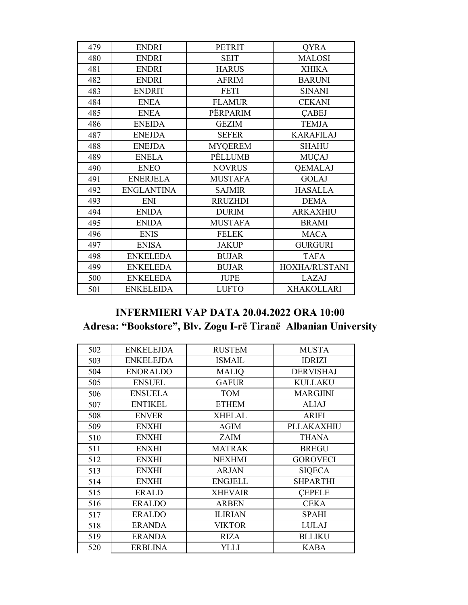| 479 | <b>ENDRI</b>      | <b>PETRIT</b>  | <b>QYRA</b>       |
|-----|-------------------|----------------|-------------------|
| 480 | <b>ENDRI</b>      | <b>SEIT</b>    | <b>MALOSI</b>     |
| 481 | <b>ENDRI</b>      | <b>HARUS</b>   | <b>XHIKA</b>      |
| 482 | <b>ENDRI</b>      | <b>AFRIM</b>   | <b>BARUNI</b>     |
| 483 | <b>ENDRIT</b>     | <b>FETI</b>    | <b>SINANI</b>     |
| 484 | <b>ENEA</b>       | <b>FLAMUR</b>  | <b>CEKANI</b>     |
| 485 | <b>ENEA</b>       | PËRPARIM       | <b>CABEJ</b>      |
| 486 | <b>ENEIDA</b>     | <b>GEZIM</b>   | <b>TEMJA</b>      |
| 487 | <b>ENEJDA</b>     | <b>SEFER</b>   | <b>KARAFILAJ</b>  |
| 488 | <b>ENEJDA</b>     | <b>MYQEREM</b> | <b>SHAHU</b>      |
| 489 | <b>ENELA</b>      | PËLLUMB        | <b>MUÇAJ</b>      |
| 490 | <b>ENEO</b>       | <b>NOVRUS</b>  | <b>QEMALAJ</b>    |
| 491 | <b>ENERJELA</b>   | <b>MUSTAFA</b> | <b>GOLAJ</b>      |
| 492 | <b>ENGLANTINA</b> | <b>SAJMIR</b>  | <b>HASALLA</b>    |
| 493 | <b>ENI</b>        | <b>RRUZHDI</b> | <b>DEMA</b>       |
| 494 | <b>ENIDA</b>      | <b>DURIM</b>   | <b>ARKAXHIU</b>   |
| 495 | <b>ENIDA</b>      | <b>MUSTAFA</b> | <b>BRAMI</b>      |
| 496 | <b>ENIS</b>       | <b>FELEK</b>   | <b>MACA</b>       |
| 497 | <b>ENISA</b>      | <b>JAKUP</b>   | <b>GURGURI</b>    |
| 498 | <b>ENKELEDA</b>   | <b>BUJAR</b>   | <b>TAFA</b>       |
| 499 | <b>ENKELEDA</b>   | <b>BUJAR</b>   | HOXHA/RUSTANI     |
| 500 | <b>ENKELEDA</b>   | <b>JUPE</b>    | LAZAJ             |
| 501 | <b>ENKELEIDA</b>  | <b>LUFTO</b>   | <b>XHAKOLLARI</b> |

#### **INFERMIERI VAP DATA 20.04.2022 ORA 10:00** Adresa: "Bookstore", Blv. Zogu I-rë Tiranë Albanian University

| 502 | <b>ENKELEJDA</b> | <b>RUSTEM</b>  | <b>MUSTA</b>     |
|-----|------------------|----------------|------------------|
| 503 | <b>ENKELEJDA</b> | <b>ISMAIL</b>  | <b>IDRIZI</b>    |
| 504 | <b>ENORALDO</b>  | <b>MALIQ</b>   | <b>DERVISHAJ</b> |
| 505 | <b>ENSUEL</b>    | <b>GAFUR</b>   | <b>KULLAKU</b>   |
| 506 | <b>ENSUELA</b>   | TOM            | <b>MARGJINI</b>  |
| 507 | <b>ENTIKEL</b>   | <b>ETHEM</b>   | <b>ALIAJ</b>     |
| 508 | <b>ENVER</b>     | <b>XHELAL</b>  | <b>ARIFI</b>     |
| 509 | <b>ENXHI</b>     | <b>AGIM</b>    | PLLAKAXHIU       |
| 510 | <b>ENXHI</b>     | <b>ZAIM</b>    | <b>THANA</b>     |
| 511 | <b>ENXHI</b>     | <b>MATRAK</b>  | <b>BREGU</b>     |
| 512 | <b>ENXHI</b>     | <b>NEXHMI</b>  | <b>GOROVECI</b>  |
| 513 | <b>ENXHI</b>     | <b>ARJAN</b>   | <b>SIQECA</b>    |
| 514 | <b>ENXHI</b>     | <b>ENGJELL</b> | <b>SHPARTHI</b>  |
| 515 | <b>ERALD</b>     | <b>XHEVAIR</b> | <b>CEPELE</b>    |
| 516 | <b>ERALDO</b>    | <b>ARBEN</b>   | <b>CEKA</b>      |
| 517 | <b>ERALDO</b>    | <b>ILIRIAN</b> | <b>SPAHI</b>     |
| 518 | <b>ERANDA</b>    | <b>VIKTOR</b>  | <b>LULAJ</b>     |
| 519 | <b>ERANDA</b>    | <b>RIZA</b>    | <b>BLLIKU</b>    |
| 520 | <b>ERBLINA</b>   | YLLI           | <b>KABA</b>      |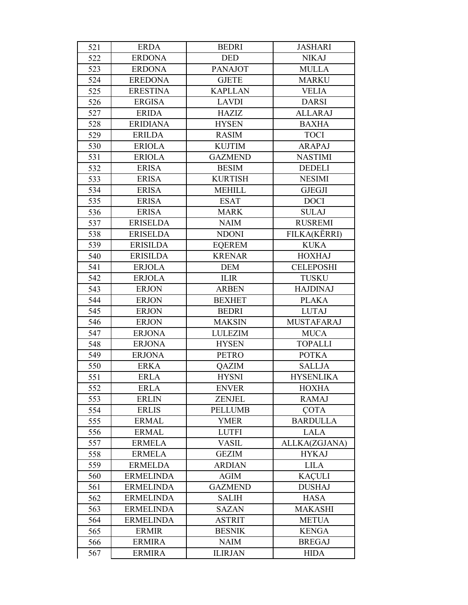| 521 | <b>ERDA</b>      | <b>BEDRI</b>   | <b>JASHARI</b>    |
|-----|------------------|----------------|-------------------|
| 522 | <b>ERDONA</b>    | <b>DED</b>     | <b>NIKAJ</b>      |
| 523 | <b>ERDONA</b>    | <b>PANAJOT</b> | <b>MULLA</b>      |
| 524 | <b>EREDONA</b>   | <b>GJETE</b>   | <b>MARKU</b>      |
| 525 | <b>ERESTINA</b>  | <b>KAPLLAN</b> | <b>VELIA</b>      |
| 526 | <b>ERGISA</b>    | <b>LAVDI</b>   | <b>DARSI</b>      |
| 527 | <b>ERIDA</b>     | <b>HAZIZ</b>   | <b>ALLARAJ</b>    |
| 528 | <b>ERIDIANA</b>  | <b>HYSEN</b>   | <b>BAXHA</b>      |
| 529 | <b>ERILDA</b>    | <b>RASIM</b>   | <b>TOCI</b>       |
| 530 | <b>ERIOLA</b>    | <b>KUJTIM</b>  | <b>ARAPAJ</b>     |
| 531 | <b>ERIOLA</b>    | <b>GAZMEND</b> | <b>NASTIMI</b>    |
| 532 | <b>ERISA</b>     | <b>BESIM</b>   | <b>DEDELI</b>     |
| 533 | <b>ERISA</b>     | <b>KURTISH</b> | <b>NESIMI</b>     |
| 534 | <b>ERISA</b>     | <b>MEHILL</b>  | <b>GJEGJI</b>     |
| 535 | <b>ERISA</b>     | <b>ESAT</b>    | <b>DOCI</b>       |
| 536 | <b>ERISA</b>     | <b>MARK</b>    | <b>SULAJ</b>      |
| 537 | <b>ERISELDA</b>  | <b>NAIM</b>    | <b>RUSREMI</b>    |
| 538 | <b>ERISELDA</b>  | <b>NDONI</b>   | FILKA(KËRRI)      |
| 539 | <b>ERISILDA</b>  | <b>EQEREM</b>  | <b>KUKA</b>       |
| 540 | <b>ERISILDA</b>  | <b>KRENAR</b>  | <b>HOXHAJ</b>     |
| 541 | <b>ERJOLA</b>    | <b>DEM</b>     | <b>CELEPOSHI</b>  |
| 542 | <b>ERJOLA</b>    | <b>ILIR</b>    | <b>TUSKU</b>      |
| 543 | <b>ERJON</b>     | <b>ARBEN</b>   | <b>HAJDINAJ</b>   |
| 544 | <b>ERJON</b>     | <b>BEXHET</b>  | <b>PLAKA</b>      |
| 545 | <b>ERJON</b>     | <b>BEDRI</b>   | <b>LUTAJ</b>      |
| 546 | <b>ERJON</b>     | <b>MAKSIN</b>  | <b>MUSTAFARAJ</b> |
| 547 | <b>ERJONA</b>    | <b>LULEZIM</b> | <b>MUCA</b>       |
| 548 | <b>ERJONA</b>    | <b>HYSEN</b>   | <b>TOPALLI</b>    |
| 549 | <b>ERJONA</b>    | <b>PETRO</b>   | <b>POTKA</b>      |
| 550 | <b>ERKA</b>      | QAZIM          | <b>SALLJA</b>     |
| 551 | <b>ERLA</b>      | <b>HYSNI</b>   | <b>HYSENLIKA</b>  |
| 552 | <b>ERLA</b>      | <b>ENVER</b>   | <b>HOXHA</b>      |
| 553 | <b>ERLIN</b>     | <b>ZENJEL</b>  | <b>RAMAJ</b>      |
| 554 | <b>ERLIS</b>     | <b>PELLUMB</b> | <b>COTA</b>       |
| 555 | <b>ERMAL</b>     | <b>YMER</b>    | <b>BARDULLA</b>   |
| 556 | <b>ERMAL</b>     | <b>LUTFI</b>   | <b>LALA</b>       |
| 557 | <b>ERMELA</b>    | <b>VASIL</b>   | ALLKA(ZGJANA)     |
| 558 | <b>ERMELA</b>    | <b>GEZIM</b>   | <b>HYKAJ</b>      |
| 559 | <b>ERMELDA</b>   | <b>ARDIAN</b>  | <b>LILA</b>       |
| 560 | <b>ERMELINDA</b> | $AGIM$         | <b>KAÇULI</b>     |
| 561 | <b>ERMELINDA</b> | <b>GAZMEND</b> | <b>DUSHAJ</b>     |
| 562 | <b>ERMELINDA</b> | <b>SALIH</b>   | <b>HASA</b>       |
| 563 | <b>ERMELINDA</b> | <b>SAZAN</b>   | <b>MAKASHI</b>    |
| 564 | <b>ERMELINDA</b> | <b>ASTRIT</b>  | <b>METUA</b>      |
| 565 | <b>ERMIR</b>     | <b>BESNIK</b>  | <b>KENGA</b>      |
| 566 | <b>ERMIRA</b>    | <b>NAIM</b>    | <b>BREGAJ</b>     |
| 567 | <b>ERMIRA</b>    | <b>ILIRJAN</b> | <b>HIDA</b>       |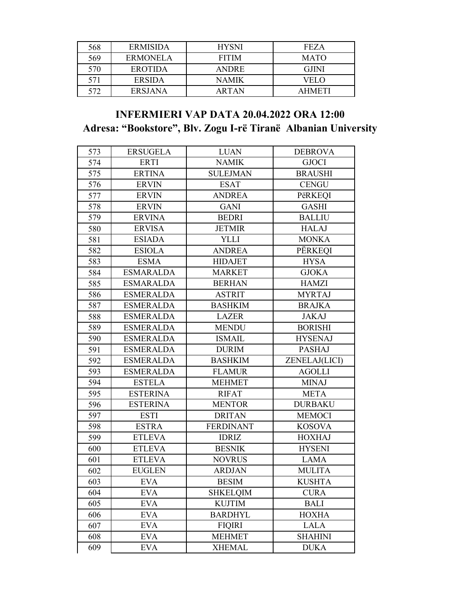| 568 | <b>ERMISIDA</b> | <b>HYSNI</b> | <b>FEZA</b>   |
|-----|-----------------|--------------|---------------|
| 569 | ERMONELA        | <b>FITIM</b> | <b>MATO</b>   |
| 570 | <b>EROTIDA</b>  | <b>ANDRE</b> | <b>GJINI</b>  |
| 571 | <b>ERSIDA</b>   | NAMIK        | VELO          |
| 572 | <b>ERSJANA</b>  | ARTAN        | <b>AHMETI</b> |

### **INFERMIERI VAP DATA 20.04.2022 ORA 12:00** Adresa: "Bookstore", Blv. Zogu I-rë Tiranë Albanian University

| 573 | <b>ERSUGELA</b>  | <b>LUAN</b>      | <b>DEBROVA</b> |
|-----|------------------|------------------|----------------|
| 574 | <b>ERTI</b>      | <b>NAMIK</b>     | <b>GJOCI</b>   |
| 575 | <b>ERTINA</b>    | <b>SULEJMAN</b>  | <b>BRAUSHI</b> |
| 576 | <b>ERVIN</b>     | <b>ESAT</b>      | <b>CENGU</b>   |
| 577 | <b>ERVIN</b>     | <b>ANDREA</b>    | PëRKEQI        |
| 578 | <b>ERVIN</b>     | <b>GANI</b>      | <b>GASHI</b>   |
| 579 | <b>ERVINA</b>    | <b>BEDRI</b>     | <b>BALLIU</b>  |
| 580 | <b>ERVISA</b>    | <b>JETMIR</b>    | <b>HALAJ</b>   |
| 581 | <b>ESIADA</b>    | <b>YLLI</b>      | <b>MONKA</b>   |
| 582 | <b>ESIOLA</b>    | <b>ANDREA</b>    | PËRKEQI        |
| 583 | <b>ESMA</b>      | <b>HIDAJET</b>   | <b>HYSA</b>    |
| 584 | <b>ESMARALDA</b> | <b>MARKET</b>    | <b>GJOKA</b>   |
| 585 | <b>ESMARALDA</b> | <b>BERHAN</b>    | <b>HAMZI</b>   |
| 586 | <b>ESMERALDA</b> | <b>ASTRIT</b>    | <b>MYRTAJ</b>  |
| 587 | <b>ESMERALDA</b> | <b>BASHKIM</b>   | <b>BRAJKA</b>  |
| 588 | <b>ESMERALDA</b> | <b>LAZER</b>     | <b>JAKAJ</b>   |
| 589 | <b>ESMERALDA</b> | <b>MENDU</b>     | <b>BORISHI</b> |
| 590 | <b>ESMERALDA</b> | <b>ISMAIL</b>    | <b>HYSENAJ</b> |
| 591 | <b>ESMERALDA</b> | <b>DURIM</b>     | <b>PASHAJ</b>  |
| 592 | <b>ESMERALDA</b> | <b>BASHKIM</b>   | ZENELAJ(LICI)  |
| 593 | <b>ESMERALDA</b> | <b>FLAMUR</b>    | <b>AGOLLI</b>  |
| 594 | <b>ESTELA</b>    | <b>MEHMET</b>    | <b>MINAJ</b>   |
| 595 | <b>ESTERINA</b>  | <b>RIFAT</b>     | <b>META</b>    |
| 596 | <b>ESTERINA</b>  | <b>MENTOR</b>    | <b>DURBAKU</b> |
| 597 | <b>ESTI</b>      | <b>DRITAN</b>    | <b>MEMOCI</b>  |
| 598 | <b>ESTRA</b>     | <b>FERDINANT</b> | <b>KOSOVA</b>  |
| 599 | <b>ETLEVA</b>    | <b>IDRIZ</b>     | <b>HOXHAJ</b>  |
| 600 | <b>ETLEVA</b>    | <b>BESNIK</b>    | <b>HYSENI</b>  |
| 601 | <b>ETLEVA</b>    | <b>NOVRUS</b>    | <b>LAMA</b>    |
| 602 | <b>EUGLEN</b>    | <b>ARDJAN</b>    | <b>MULITA</b>  |
| 603 | <b>EVA</b>       | <b>BESIM</b>     | <b>KUSHTA</b>  |
| 604 | <b>EVA</b>       | <b>SHKELQIM</b>  | <b>CURA</b>    |
| 605 | <b>EVA</b>       | <b>KUJTIM</b>    | <b>BALI</b>    |
| 606 | <b>EVA</b>       | <b>BARDHYL</b>   | <b>HOXHA</b>   |
| 607 | <b>EVA</b>       | <b>FIQIRI</b>    | <b>LALA</b>    |
| 608 | <b>EVA</b>       | <b>MEHMET</b>    | <b>SHAHINI</b> |
| 609 | <b>EVA</b>       | <b>XHEMAL</b>    | <b>DUKA</b>    |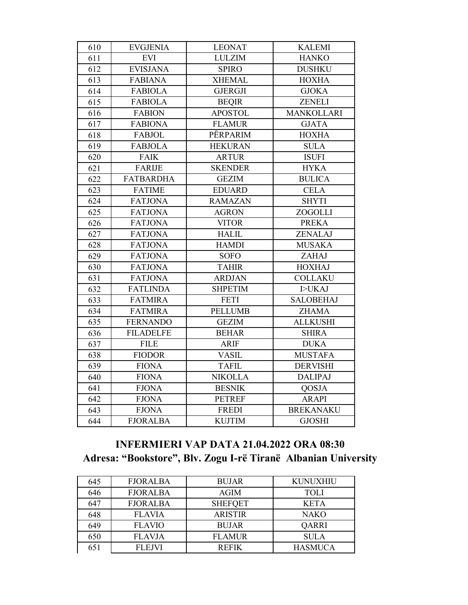| 610 | <b>EVGJENIA</b>  | <b>LEONAT</b>  | <b>KALEMI</b>     |
|-----|------------------|----------------|-------------------|
| 611 | <b>EVI</b>       | <b>LULZIM</b>  | <b>HANKO</b>      |
| 612 | <b>EVISJANA</b>  | <b>SPIRO</b>   | <b>DUSHKU</b>     |
| 613 | <b>FABIANA</b>   | <b>XHEMAL</b>  | <b>HOXHA</b>      |
| 614 | <b>FABIOLA</b>   | <b>GJERGJI</b> | <b>GJOKA</b>      |
| 615 | <b>FABIOLA</b>   | <b>BEQIR</b>   | <b>ZENELI</b>     |
| 616 | <b>FABION</b>    | <b>APOSTOL</b> | <b>MANKOLLARI</b> |
| 617 | <b>FABIONA</b>   | <b>FLAMUR</b>  | <b>GJATA</b>      |
| 618 | <b>FABJOL</b>    | PËRPARIM       | <b>HOXHA</b>      |
| 619 | <b>FABJOLA</b>   | <b>HEKURAN</b> | <b>SULA</b>       |
| 620 | <b>FAIK</b>      | <b>ARTUR</b>   | <b>ISUFI</b>      |
| 621 | <b>FARIJE</b>    | <b>SKENDER</b> | <b>HYKA</b>       |
| 622 | <b>FATBARDHA</b> | <b>GEZIM</b>   | <b>BULICA</b>     |
| 623 | <b>FATIME</b>    | <b>EDUARD</b>  | <b>CELA</b>       |
| 624 | <b>FATJONA</b>   | <b>RAMAZAN</b> | <b>SHYTI</b>      |
| 625 | <b>FATJONA</b>   | <b>AGRON</b>   | ZOGOLLI           |
| 626 | <b>FATJONA</b>   | <b>VITOR</b>   | <b>PREKA</b>      |
| 627 | <b>FATJONA</b>   | <b>HALIL</b>   | <b>ZENALAJ</b>    |
| 628 | <b>FATJONA</b>   | <b>HAMDI</b>   | <b>MUSAKA</b>     |
| 629 | <b>FATJONA</b>   | <b>SOFO</b>    | ZAHAJ             |
| 630 | <b>FATJONA</b>   | <b>TAHIR</b>   | <b>HOXHAJ</b>     |
| 631 | <b>FATJONA</b>   | <b>ARDJAN</b>  | <b>COLLAKU</b>    |
| 632 | <b>FATLINDA</b>  | <b>SHPETIM</b> | <b>I&gt;UKAJ</b>  |
| 633 | <b>FATMIRA</b>   | <b>FETI</b>    | <b>SALOBEHAJ</b>  |
| 634 | <b>FATMIRA</b>   | <b>PELLUMB</b> | <b>ZHAMA</b>      |
| 635 | <b>FERNANDO</b>  | <b>GEZIM</b>   | <b>ALLKUSHI</b>   |
| 636 | <b>FILADELFE</b> | <b>BEHAR</b>   | <b>SHIRA</b>      |
| 637 | <b>FILE</b>      | <b>ARIF</b>    | <b>DUKA</b>       |
| 638 | <b>FIODOR</b>    | <b>VASIL</b>   | <b>MUSTAFA</b>    |
| 639 | <b>FIONA</b>     | <b>TAFIL</b>   | <b>DERVISHI</b>   |
| 640 | <b>FIONA</b>     | <b>NIKOLLA</b> | <b>DALIPAJ</b>    |
| 641 | <b>FJONA</b>     | <b>BESNIK</b>  | QOSJA             |
| 642 | <b>FJONA</b>     | <b>PETREF</b>  | <b>ARAPI</b>      |
| 643 | <b>FJONA</b>     | <b>FREDI</b>   | <b>BREKANAKU</b>  |
| 644 | <b>FJORALBA</b>  | <b>KUJTIM</b>  | <b>GJOSHI</b>     |

# **INFERMIERI VAP DATA 21.04.2022 ORA 08:30 Adresa: "Bookstore", Blv. Zogu I-rë Tiranë Albanian University**

| 645 | <b>FJORALBA</b> | <b>BUJAR</b>   | <b>KUNUXHIU</b> |
|-----|-----------------|----------------|-----------------|
| 646 | <b>FJORALBA</b> | <b>AGIM</b>    | <b>TOLI</b>     |
| 647 | <b>FJORALBA</b> | <b>SHEFQET</b> | <b>KETA</b>     |
| 648 | <b>FLAVIA</b>   | <b>ARISTIR</b> | <b>NAKO</b>     |
| 649 | <b>FLAVIO</b>   | <b>BUJAR</b>   | <b>OARRI</b>    |
| 650 | <b>FLAVJA</b>   | <b>FLAMUR</b>  | <b>SULA</b>     |
| 651 | <b>FLEJVI</b>   | <b>REFIK</b>   | <b>HASMUCA</b>  |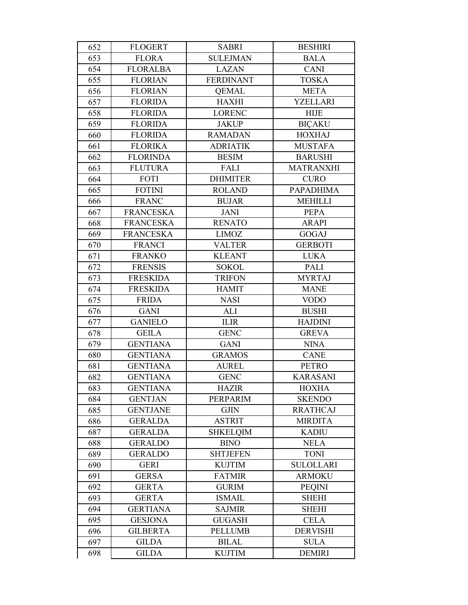| 652 | <b>FLOGERT</b>   | <b>SABRI</b>     | <b>BESHIRI</b>   |
|-----|------------------|------------------|------------------|
| 653 | <b>FLORA</b>     | <b>SULEJMAN</b>  | <b>BALA</b>      |
| 654 | <b>FLORALBA</b>  | <b>LAZAN</b>     | <b>CANI</b>      |
| 655 | <b>FLORIAN</b>   | <b>FERDINANT</b> | <b>TOSKA</b>     |
| 656 | <b>FLORIAN</b>   | <b>QEMAL</b>     | <b>META</b>      |
| 657 | <b>FLORIDA</b>   | <b>HAXHI</b>     | <b>YZELLARI</b>  |
| 658 | <b>FLORIDA</b>   | <b>LORENC</b>    | <b>HIJE</b>      |
| 659 | <b>FLORIDA</b>   | <b>JAKUP</b>     | <b>BICAKU</b>    |
| 660 | <b>FLORIDA</b>   | <b>RAMADAN</b>   | <b>HOXHAJ</b>    |
| 661 | <b>FLORIKA</b>   | <b>ADRIATIK</b>  | <b>MUSTAFA</b>   |
| 662 | <b>FLORINDA</b>  | <b>BESIM</b>     | <b>BARUSHI</b>   |
| 663 | <b>FLUTURA</b>   | FALI             | <b>MATRANXHI</b> |
| 664 | FOTI             | <b>DHIMITER</b>  | <b>CURO</b>      |
| 665 | <b>FOTINI</b>    | <b>ROLAND</b>    | <b>PAPADHIMA</b> |
| 666 | <b>FRANC</b>     | <b>BUJAR</b>     | <b>MEHILLI</b>   |
| 667 | <b>FRANCESKA</b> | <b>JANI</b>      | <b>PEPA</b>      |
| 668 | <b>FRANCESKA</b> | <b>RENATO</b>    | <b>ARAPI</b>     |
| 669 | <b>FRANCESKA</b> | <b>LIMOZ</b>     | <b>GOGAJ</b>     |
| 670 | <b>FRANCI</b>    | <b>VALTER</b>    | <b>GERBOTI</b>   |
| 671 | <b>FRANKO</b>    | <b>KLEANT</b>    | <b>LUKA</b>      |
| 672 | <b>FRENSIS</b>   | <b>SOKOL</b>     | <b>PALI</b>      |
| 673 | <b>FRESKIDA</b>  | <b>TRIFON</b>    | <b>MYRTAJ</b>    |
| 674 | <b>FRESKIDA</b>  | <b>HAMIT</b>     | <b>MANE</b>      |
| 675 | <b>FRIDA</b>     | <b>NASI</b>      | <b>VODO</b>      |
| 676 | <b>GANI</b>      | <b>ALI</b>       | <b>BUSHI</b>     |
| 677 | <b>GANIELO</b>   | <b>ILIR</b>      | <b>HAJDINI</b>   |
| 678 | <b>GEILA</b>     | <b>GENC</b>      | <b>GREVA</b>     |
| 679 | <b>GENTIANA</b>  | <b>GANI</b>      | <b>NINA</b>      |
| 680 | <b>GENTIANA</b>  | <b>GRAMOS</b>    | <b>CANE</b>      |
| 681 | <b>GENTIANA</b>  | <b>AUREL</b>     | <b>PETRO</b>     |
| 682 | <b>GENTIANA</b>  | <b>GENC</b>      | <b>KARASANI</b>  |
| 683 | <b>GENTIANA</b>  | <b>HAZIR</b>     | <b>HOXHA</b>     |
| 684 | <b>GENTJAN</b>   | PERPARIM         | <b>SKENDO</b>    |
| 685 | <b>GENTJANE</b>  | <b>GJIN</b>      | <b>RRATHCAJ</b>  |
| 686 | <b>GERALDA</b>   | <b>ASTRIT</b>    | <b>MIRDITA</b>   |
| 687 | <b>GERALDA</b>   | <b>SHKELQIM</b>  | <b>KADIU</b>     |
| 688 | <b>GERALDO</b>   | <b>BINO</b>      | <b>NELA</b>      |
| 689 | <b>GERALDO</b>   | <b>SHTJEFEN</b>  | <b>TONI</b>      |
| 690 | <b>GERI</b>      | <b>KUJTIM</b>    | <b>SULOLLARI</b> |
| 691 | <b>GERSA</b>     | <b>FATMIR</b>    | <b>ARMOKU</b>    |
| 692 | <b>GERTA</b>     | <b>GURIM</b>     | <b>PEQINI</b>    |
| 693 | <b>GERTA</b>     | <b>ISMAIL</b>    | <b>SHEHI</b>     |
| 694 | <b>GERTIANA</b>  | <b>SAJMIR</b>    | <b>SHEHI</b>     |
| 695 | <b>GESJONA</b>   | <b>GUGASH</b>    | <b>CELA</b>      |
| 696 | <b>GILBERTA</b>  | <b>PELLUMB</b>   | <b>DERVISHI</b>  |
| 697 | <b>GILDA</b>     | <b>BILAL</b>     | <b>SULA</b>      |
| 698 | <b>GILDA</b>     | <b>KUJTIM</b>    | <b>DEMIRI</b>    |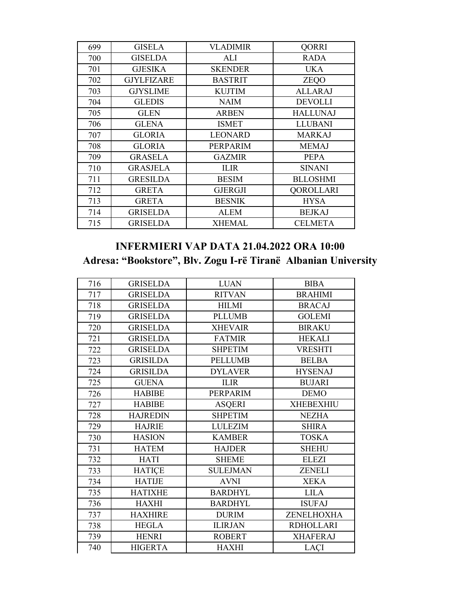| 699 | <b>GISELA</b>     | <b>VLADIMIR</b> | <b>QORRI</b>     |
|-----|-------------------|-----------------|------------------|
| 700 | <b>GISELDA</b>    | ALI             | <b>RADA</b>      |
| 701 | <b>GJESIKA</b>    | <b>SKENDER</b>  | <b>UKA</b>       |
| 702 | <b>GJYLFIZARE</b> | <b>BASTRIT</b>  | ZEQO             |
| 703 | <b>GJYSLIME</b>   | <b>KUJTIM</b>   | <b>ALLARAJ</b>   |
| 704 | <b>GLEDIS</b>     | <b>NAIM</b>     | <b>DEVOLLI</b>   |
| 705 | <b>GLEN</b>       | <b>ARBEN</b>    | <b>HALLUNAJ</b>  |
| 706 | <b>GLENA</b>      | <b>ISMET</b>    | <b>LLUBANI</b>   |
| 707 | <b>GLORIA</b>     | <b>LEONARD</b>  | <b>MARKAJ</b>    |
| 708 | <b>GLORIA</b>     | PERPARIM        | <b>MEMAJ</b>     |
| 709 | <b>GRASELA</b>    | <b>GAZMIR</b>   | <b>PEPA</b>      |
| 710 | <b>GRASJELA</b>   | <b>ILIR</b>     | <b>SINANI</b>    |
| 711 | <b>GRESILDA</b>   | <b>BESIM</b>    | <b>BLLOSHMI</b>  |
| 712 | <b>GRETA</b>      | <b>GJERGJI</b>  | <b>QOROLLARI</b> |
| 713 | <b>GRETA</b>      | <b>BESNIK</b>   | <b>HYSA</b>      |
| 714 | <b>GRISELDA</b>   | <b>ALEM</b>     | <b>BEJKAJ</b>    |
| 715 | <b>GRISELDA</b>   | <b>XHEMAL</b>   | <b>CELMETA</b>   |

# **INFERMIERI VAP DATA 21.04.2022 ORA 10:00 Adresa: "Bookstore", Blv. Zogu I-rë Tiranë Albanian University**

| 716 | <b>GRISELDA</b> | <b>LUAN</b>     | <b>BIBA</b>       |
|-----|-----------------|-----------------|-------------------|
| 717 | <b>GRISELDA</b> | <b>RITVAN</b>   | <b>BRAHIMI</b>    |
| 718 | <b>GRISELDA</b> | <b>HILMI</b>    | <b>BRACAJ</b>     |
| 719 | <b>GRISELDA</b> | <b>PLLUMB</b>   | <b>GOLEMI</b>     |
| 720 | <b>GRISELDA</b> | <b>XHEVAIR</b>  | <b>BIRAKU</b>     |
| 721 | <b>GRISELDA</b> | <b>FATMIR</b>   | <b>HEKALI</b>     |
| 722 | <b>GRISELDA</b> | <b>SHPETIM</b>  | <b>VRESHTI</b>    |
| 723 | <b>GRISILDA</b> | <b>PELLUMB</b>  | <b>BELBA</b>      |
| 724 | <b>GRISILDA</b> | <b>DYLAVER</b>  | <b>HYSENAJ</b>    |
| 725 | <b>GUENA</b>    | <b>ILIR</b>     | <b>BUJARI</b>     |
| 726 | <b>HABIBE</b>   | PERPARIM        | <b>DEMO</b>       |
| 727 | <b>HABIBE</b>   | <b>ASQERI</b>   | <b>XHEBEXHIU</b>  |
| 728 | <b>HAJREDIN</b> | <b>SHPETIM</b>  | <b>NEZHA</b>      |
| 729 | <b>HAJRIE</b>   | <b>LULEZIM</b>  | <b>SHIRA</b>      |
| 730 | <b>HASION</b>   | <b>KAMBER</b>   | <b>TOSKA</b>      |
| 731 | <b>HATEM</b>    | <b>HAJDER</b>   | <b>SHEHU</b>      |
| 732 | <b>HATI</b>     | <b>SHEME</b>    | <b>ELEZI</b>      |
| 733 | <b>HATICE</b>   | <b>SULEJMAN</b> | <b>ZENELI</b>     |
| 734 | <b>HATIJE</b>   | <b>AVNI</b>     | <b>XEKA</b>       |
| 735 | <b>HATIXHE</b>  | <b>BARDHYL</b>  | <b>LILA</b>       |
| 736 | <b>HAXHI</b>    | <b>BARDHYL</b>  | <b>ISUFAJ</b>     |
| 737 | <b>HAXHIRE</b>  | <b>DURIM</b>    | <b>ZENELHOXHA</b> |
| 738 | <b>HEGLA</b>    | <b>ILIRJAN</b>  | <b>RDHOLLARI</b>  |
| 739 | <b>HENRI</b>    | <b>ROBERT</b>   | <b>XHAFERAJ</b>   |
| 740 | <b>HIGERTA</b>  | <b>HAXHI</b>    | LAÇI              |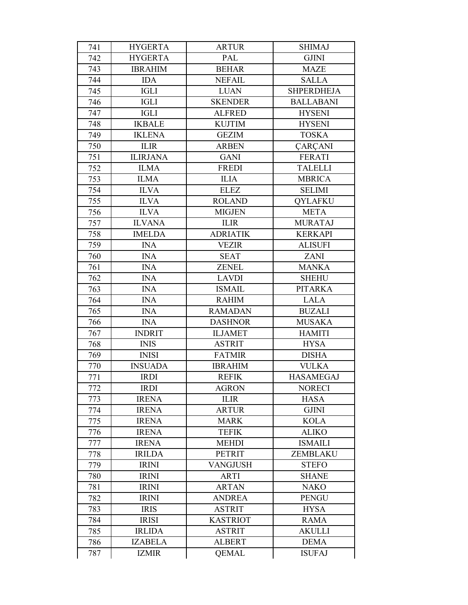| 741        | <b>HYGERTA</b>               | <b>ARTUR</b>                     | <b>SHIMAJ</b>                  |
|------------|------------------------------|----------------------------------|--------------------------------|
| 742        | <b>HYGERTA</b>               | PAL                              | <b>GJINI</b>                   |
| 743        | <b>IBRAHIM</b>               | <b>BEHAR</b>                     | <b>MAZE</b>                    |
| 744        | <b>IDA</b>                   | <b>NEFAIL</b>                    | <b>SALLA</b>                   |
| 745        | <b>IGLI</b>                  | <b>LUAN</b>                      | <b>SHPERDHEJA</b>              |
| 746        | <b>IGLI</b>                  | <b>SKENDER</b>                   | <b>BALLABANI</b>               |
| 747        | <b>IGLI</b>                  | <b>ALFRED</b>                    | <b>HYSENI</b>                  |
| 748        | <b>IKBALE</b>                | <b>KUJTIM</b>                    | <b>HYSENI</b>                  |
| 749        | <b>IKLENA</b>                | <b>GEZIM</b>                     | <b>TOSKA</b>                   |
| 750        | <b>ILIR</b>                  | <b>ARBEN</b>                     | <b>ÇARÇANI</b>                 |
| 751        | <b>ILIRJANA</b>              | <b>GANI</b>                      | <b>FERATI</b>                  |
| 752        | <b>ILMA</b>                  | <b>FREDI</b>                     | <b>TALELLI</b>                 |
| 753        | <b>ILMA</b>                  | <b>ILIA</b>                      | <b>MBRICA</b>                  |
| 754        | <b>ILVA</b>                  | <b>ELEZ</b>                      | <b>SELIMI</b>                  |
| 755        | <b>ILVA</b>                  | <b>ROLAND</b>                    | <b>OYLAFKU</b>                 |
| 756        | <b>ILVA</b>                  | <b>MIGJEN</b>                    | <b>META</b>                    |
| 757        | <b>ILVANA</b>                | <b>ILIR</b>                      | <b>MURATAJ</b>                 |
| 758        | <b>IMELDA</b>                | <b>ADRIATIK</b>                  | <b>KERKAPI</b>                 |
| 759        | <b>INA</b>                   | <b>VEZIR</b>                     | <b>ALISUFI</b>                 |
| 760        | <b>INA</b>                   | <b>SEAT</b>                      | <b>ZANI</b>                    |
| 761        | <b>INA</b>                   | <b>ZENEL</b>                     | <b>MANKA</b>                   |
| 762        | <b>INA</b>                   | <b>LAVDI</b>                     | <b>SHEHU</b>                   |
| 763        | <b>INA</b>                   | <b>ISMAIL</b>                    | <b>PITARKA</b>                 |
| 764        | <b>INA</b>                   | <b>RAHIM</b>                     | <b>LALA</b>                    |
| 765        | <b>INA</b>                   | <b>RAMADAN</b>                   | <b>BUZALI</b>                  |
| 766        | <b>INA</b>                   | <b>DASHNOR</b>                   | <b>MUSAKA</b>                  |
| 767        | <b>INDRIT</b>                | <b>ILJAMET</b>                   | <b>HAMITI</b>                  |
| 768        | <b>INIS</b>                  | <b>ASTRIT</b>                    | <b>HYSA</b>                    |
| 769        | <b>INISI</b>                 | <b>FATMIR</b>                    | <b>DISHA</b>                   |
| 770        | <b>INSUADA</b>               | <b>IBRAHIM</b>                   | <b>VULKA</b>                   |
| 771        | <b>IRDI</b>                  | <b>REFIK</b>                     | <b>HASAMEGAJ</b>               |
| 772        | <b>IRDI</b>                  | <b>AGRON</b>                     | <b>NORECI</b>                  |
| 773        | <b>IRENA</b>                 | <b>ILIR</b>                      | <b>HASA</b>                    |
| 774        | <b>IRENA</b>                 | <b>ARTUR</b>                     | <b>GJINI</b>                   |
| 775        | <b>IRENA</b>                 | <b>MARK</b>                      | <b>KOLA</b>                    |
| 776        | <b>IRENA</b><br><b>IRENA</b> | <b>TEFIK</b><br><b>MEHDI</b>     | <b>ALIKO</b><br><b>ISMAILI</b> |
| 777        |                              |                                  |                                |
| 778        | <b>IRILDA</b>                | <b>PETRIT</b><br><b>VANGJUSH</b> | ZEMBLAKU<br><b>STEFO</b>       |
| 779<br>780 | <b>IRINI</b><br><b>IRINI</b> | <b>ARTI</b>                      | <b>SHANE</b>                   |
| 781        | <b>IRINI</b>                 | <b>ARTAN</b>                     | <b>NAKO</b>                    |
| 782        | <b>IRINI</b>                 | <b>ANDREA</b>                    | <b>PENGU</b>                   |
| 783        | <b>IRIS</b>                  | <b>ASTRIT</b>                    | <b>HYSA</b>                    |
| 784        | <b>IRISI</b>                 | <b>KASTRIOT</b>                  | <b>RAMA</b>                    |
| 785        | <b>IRLIDA</b>                | <b>ASTRIT</b>                    | <b>AKULLI</b>                  |
| 786        | <b>IZABELA</b>               | <b>ALBERT</b>                    | <b>DEMA</b>                    |
| 787        | <b>IZMIR</b>                 | <b>QEMAL</b>                     | <b>ISUFAJ</b>                  |
|            |                              |                                  |                                |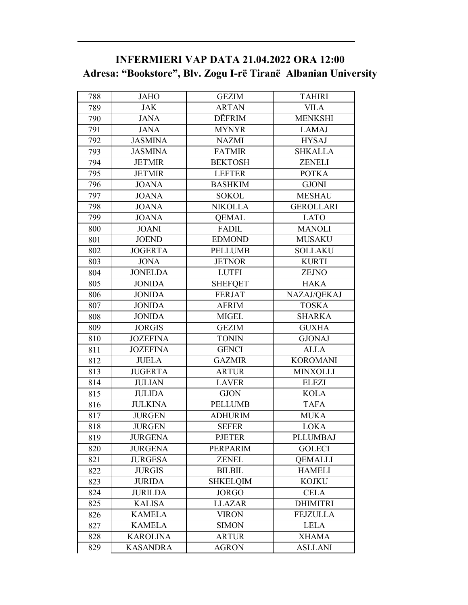### **INFERMIERI VAP DATA 21.04.2022 ORA 12:00 Adresa: "Bookstore", Blv. Zogu I-rë Tiranë Albanian University**

| 788 | <b>JAHO</b>     | <b>GEZIM</b>    | <b>TAHIRI</b>    |
|-----|-----------------|-----------------|------------------|
| 789 | <b>JAK</b>      | <b>ARTAN</b>    | <b>VILA</b>      |
| 790 | <b>JANA</b>     | DËFRIM          | <b>MENKSHI</b>   |
| 791 | <b>JANA</b>     | <b>MYNYR</b>    | <b>LAMAJ</b>     |
| 792 | <b>JASMINA</b>  | <b>NAZMI</b>    | <b>HYSAJ</b>     |
| 793 | <b>JASMINA</b>  | <b>FATMIR</b>   | <b>SHKALLA</b>   |
| 794 | <b>JETMIR</b>   | <b>BEKTOSH</b>  | <b>ZENELI</b>    |
| 795 | <b>JETMIR</b>   | <b>LEFTER</b>   | <b>POTKA</b>     |
| 796 | <b>JOANA</b>    | <b>BASHKIM</b>  | <b>GJONI</b>     |
| 797 | <b>JOANA</b>    | <b>SOKOL</b>    | <b>MESHAU</b>    |
| 798 | <b>JOANA</b>    | <b>NIKOLLA</b>  | <b>GEROLLARI</b> |
| 799 | <b>JOANA</b>    | <b>QEMAL</b>    | <b>LATO</b>      |
| 800 | <b>JOANI</b>    | FADIL           | <b>MANOLI</b>    |
| 801 | <b>JOEND</b>    | <b>EDMOND</b>   | <b>MUSAKU</b>    |
| 802 | <b>JOGERTA</b>  | <b>PELLUMB</b>  | <b>SOLLAKU</b>   |
| 803 | <b>JONA</b>     | <b>JETNOR</b>   | <b>KURTI</b>     |
| 804 | <b>JONELDA</b>  | <b>LUTFI</b>    | <b>ZEJNO</b>     |
| 805 | <b>JONIDA</b>   | <b>SHEFQET</b>  | <b>HAKA</b>      |
| 806 | <b>JONIDA</b>   | <b>FERJAT</b>   | NAZAJ/QEKAJ      |
| 807 | <b>JONIDA</b>   | <b>AFRIM</b>    | <b>TOSKA</b>     |
| 808 | <b>JONIDA</b>   | <b>MIGEL</b>    | <b>SHARKA</b>    |
| 809 | <b>JORGIS</b>   | <b>GEZIM</b>    | <b>GUXHA</b>     |
| 810 | <b>JOZEFINA</b> | <b>TONIN</b>    | <b>GJONAJ</b>    |
| 811 | <b>JOZEFINA</b> | <b>GENCI</b>    | <b>ALLA</b>      |
| 812 | <b>JUELA</b>    | <b>GAZMIR</b>   | <b>KOROMANI</b>  |
| 813 | <b>JUGERTA</b>  | <b>ARTUR</b>    | <b>MINXOLLI</b>  |
| 814 | <b>JULIAN</b>   | <b>LAVER</b>    | <b>ELEZI</b>     |
| 815 | <b>JULIDA</b>   | <b>GJON</b>     | <b>KOLA</b>      |
| 816 | <b>JULKINA</b>  | <b>PELLUMB</b>  | <b>TAFA</b>      |
| 817 | <b>JURGEN</b>   | <b>ADHURIM</b>  | <b>MUKA</b>      |
| 818 | <b>JURGEN</b>   | <b>SEFER</b>    | <b>LOKA</b>      |
| 819 | <b>JURGENA</b>  | <b>PJETER</b>   | <b>PLLUMBAJ</b>  |
| 820 | <b>JURGENA</b>  | PERPARIM        | <b>GOLECI</b>    |
| 821 | <b>JURGESA</b>  | <b>ZENEL</b>    | <b>QEMALLI</b>   |
| 822 | <b>JURGIS</b>   | <b>BILBIL</b>   | <b>HAMELI</b>    |
| 823 | <b>JURIDA</b>   | <b>SHKELQIM</b> | <b>KOJKU</b>     |
| 824 | <b>JURILDA</b>  | <b>JORGO</b>    | <b>CELA</b>      |
| 825 | <b>KALISA</b>   | <b>LLAZAR</b>   | <b>DHIMITRI</b>  |
| 826 | <b>KAMELA</b>   | <b>VIRON</b>    | <b>FEJZULLA</b>  |
| 827 | <b>KAMELA</b>   | <b>SIMON</b>    | <b>LELA</b>      |
| 828 | <b>KAROLINA</b> | <b>ARTUR</b>    | <b>XHAMA</b>     |
| 829 | <b>KASANDRA</b> | <b>AGRON</b>    | <b>ASLLANI</b>   |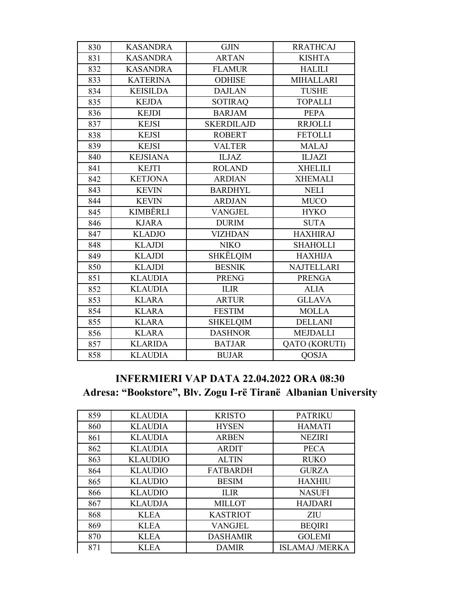| 830 | <b>KASANDRA</b> | <b>GJIN</b>       | <b>RRATHCAJ</b>   |
|-----|-----------------|-------------------|-------------------|
| 831 | <b>KASANDRA</b> | <b>ARTAN</b>      | <b>KISHTA</b>     |
| 832 | <b>KASANDRA</b> | <b>FLAMUR</b>     | <b>HALILI</b>     |
| 833 | <b>KATERINA</b> | <b>ODHISE</b>     | <b>MIHALLARI</b>  |
| 834 | <b>KEISILDA</b> | <b>DAJLAN</b>     | <b>TUSHE</b>      |
| 835 | <b>KEJDA</b>    | <b>SOTIRAQ</b>    | <b>TOPALLI</b>    |
| 836 | <b>KEJDI</b>    | <b>BARJAM</b>     | <b>PEPA</b>       |
| 837 | <b>KEJSI</b>    | <b>SKERDILAJD</b> | <b>RRJOLLI</b>    |
| 838 | <b>KEJSI</b>    | <b>ROBERT</b>     | <b>FETOLLI</b>    |
| 839 | <b>KEJSI</b>    | <b>VALTER</b>     | <b>MALAJ</b>      |
| 840 | <b>KEJSIANA</b> | <b>ILJAZ</b>      | <b>ILJAZI</b>     |
| 841 | <b>KEJTI</b>    | <b>ROLAND</b>     | <b>XHELILI</b>    |
| 842 | <b>KETJONA</b>  | <b>ARDIAN</b>     | <b>XHEMALI</b>    |
| 843 | <b>KEVIN</b>    | <b>BARDHYL</b>    | <b>NELI</b>       |
| 844 | <b>KEVIN</b>    | <b>ARDJAN</b>     | <b>MUCO</b>       |
| 845 | <b>KIMBËRLI</b> | <b>VANGJEL</b>    | <b>HYKO</b>       |
| 846 | <b>KJARA</b>    | <b>DURIM</b>      | <b>SUTA</b>       |
| 847 | <b>KLADJO</b>   | <b>VIZHDAN</b>    | <b>HAXHIRAJ</b>   |
| 848 | <b>KLAJDI</b>   | <b>NIKO</b>       | <b>SHAHOLLI</b>   |
| 849 | <b>KLAJDI</b>   | SHKËLQIM          | <b>HAXHIJA</b>    |
| 850 | <b>KLAJDI</b>   | <b>BESNIK</b>     | <b>NAJTELLARI</b> |
| 851 | <b>KLAUDIA</b>  | <b>PRENG</b>      | <b>PRENGA</b>     |
| 852 | <b>KLAUDIA</b>  | <b>ILIR</b>       | <b>ALIA</b>       |
| 853 | <b>KLARA</b>    | <b>ARTUR</b>      | <b>GLLAVA</b>     |
| 854 | <b>KLARA</b>    | <b>FESTIM</b>     | <b>MOLLA</b>      |
| 855 | <b>KLARA</b>    | <b>SHKELQIM</b>   | <b>DELLANI</b>    |
| 856 | <b>KLARA</b>    | <b>DASHNOR</b>    | <b>MEJDALLI</b>   |
| 857 | <b>KLARIDA</b>  | <b>BATJAR</b>     | QATO (KORUTI)     |
| 858 | <b>KLAUDIA</b>  | <b>BUJAR</b>      | <b>QOSJA</b>      |
|     |                 |                   |                   |

### **INFERMIERI VAP DATA 22.04.2022 ORA 08:30 Adresa: "Bookstore", Blv. Zogu I-rë Tiranë Albanian University**

| 859 | <b>KLAUDIA</b>  | <b>KRISTO</b>   | <b>PATRIKU</b>        |
|-----|-----------------|-----------------|-----------------------|
| 860 | <b>KLAUDIA</b>  | <b>HYSEN</b>    | <b>HAMATI</b>         |
| 861 | <b>KLAUDIA</b>  | <b>ARBEN</b>    | <b>NEZIRI</b>         |
| 862 | <b>KLAUDIA</b>  | <b>ARDIT</b>    | <b>PECA</b>           |
| 863 | <b>KLAUDIJO</b> | <b>ALTIN</b>    | <b>RUKO</b>           |
| 864 | <b>KLAUDIO</b>  | <b>FATBARDH</b> | <b>GURZA</b>          |
| 865 | <b>KLAUDIO</b>  | <b>BESIM</b>    | <b>HAXHIU</b>         |
| 866 | <b>KLAUDIO</b>  | <b>ILIR</b>     | <b>NASUFI</b>         |
| 867 | <b>KLAUDJA</b>  | <b>MILLOT</b>   | <b>HAJDARI</b>        |
| 868 | <b>KLEA</b>     | <b>KASTRIOT</b> | <b>ZIU</b>            |
| 869 | <b>KLEA</b>     | <b>VANGJEL</b>  | <b>BEQIRI</b>         |
| 870 | <b>KLEA</b>     | <b>DASHAMIR</b> | <b>GOLEMI</b>         |
| 871 | <b>KLEA</b>     | <b>DAMIR</b>    | <b>ISLAMAJ /MERKA</b> |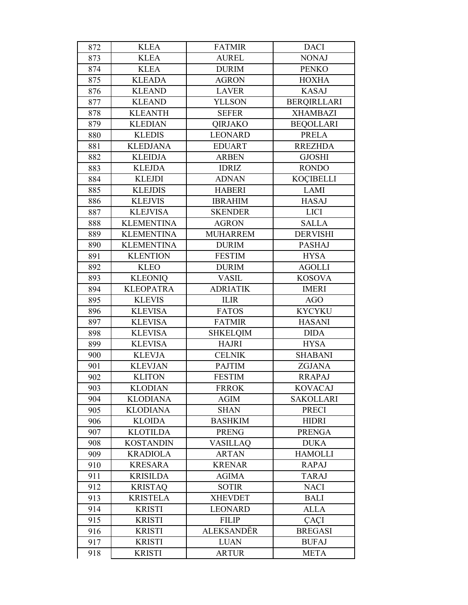| 872 | <b>KLEA</b>       | <b>FATMIR</b>   | <b>DACI</b>        |
|-----|-------------------|-----------------|--------------------|
| 873 | <b>KLEA</b>       | <b>AUREL</b>    | <b>NONAJ</b>       |
| 874 | <b>KLEA</b>       | <b>DURIM</b>    | <b>PENKO</b>       |
| 875 | <b>KLEADA</b>     | <b>AGRON</b>    | <b>HOXHA</b>       |
| 876 | <b>KLEAND</b>     | <b>LAVER</b>    | <b>KASAJ</b>       |
| 877 | <b>KLEAND</b>     | <b>YLLSON</b>   | <b>BERQIRLLARI</b> |
| 878 | <b>KLEANTH</b>    | <b>SEFER</b>    | <b>XHAMBAZI</b>    |
| 879 | <b>KLEDIAN</b>    | <b>OIRJAKO</b>  | <b>BEQOLLARI</b>   |
| 880 | <b>KLEDIS</b>     | <b>LEONARD</b>  | <b>PRELA</b>       |
| 881 | <b>KLEDJANA</b>   | <b>EDUART</b>   | <b>RREZHDA</b>     |
| 882 | <b>KLEIDJA</b>    | <b>ARBEN</b>    | <b>GJOSHI</b>      |
| 883 | <b>KLEJDA</b>     | <b>IDRIZ</b>    | <b>RONDO</b>       |
| 884 | <b>KLEJDI</b>     | <b>ADNAN</b>    | <b>KOCIBELLI</b>   |
| 885 | <b>KLEJDIS</b>    | <b>HABERI</b>   | <b>LAMI</b>        |
| 886 | <b>KLEJVIS</b>    | <b>IBRAHIM</b>  | <b>HASAJ</b>       |
| 887 | <b>KLEJVISA</b>   | <b>SKENDER</b>  | <b>LICI</b>        |
| 888 | <b>KLEMENTINA</b> | <b>AGRON</b>    | <b>SALLA</b>       |
| 889 | <b>KLEMENTINA</b> | <b>MUHARREM</b> | <b>DERVISHI</b>    |
| 890 | <b>KLEMENTINA</b> | <b>DURIM</b>    | <b>PASHAJ</b>      |
| 891 | <b>KLENTION</b>   | <b>FESTIM</b>   | <b>HYSA</b>        |
| 892 | <b>KLEO</b>       | <b>DURIM</b>    | <b>AGOLLI</b>      |
| 893 | <b>KLEONIQ</b>    | <b>VASIL</b>    | <b>KOSOVA</b>      |
| 894 | <b>KLEOPATRA</b>  | <b>ADRIATIK</b> | <b>IMERI</b>       |
| 895 | <b>KLEVIS</b>     | <b>ILIR</b>     | <b>AGO</b>         |
| 896 | <b>KLEVISA</b>    | <b>FATOS</b>    | <b>KYCYKU</b>      |
| 897 | <b>KLEVISA</b>    | <b>FATMIR</b>   | <b>HASANI</b>      |
| 898 | <b>KLEVISA</b>    | <b>SHKELQIM</b> | <b>DIDA</b>        |
| 899 | <b>KLEVISA</b>    | <b>HAJRI</b>    | <b>HYSA</b>        |
| 900 | <b>KLEVJA</b>     | <b>CELNIK</b>   | <b>SHABANI</b>     |
| 901 | <b>KLEVJAN</b>    | <b>PAJTIM</b>   | <b>ZGJANA</b>      |
| 902 | <b>KLITON</b>     | <b>FESTIM</b>   | <b>RRAPAJ</b>      |
| 903 | <b>KLODIAN</b>    | <b>FRROK</b>    | <b>KOVACAJ</b>     |
| 904 | <b>KLODIANA</b>   | <b>AGIM</b>     | <b>SAKOLLARI</b>   |
| 905 | <b>KLODIANA</b>   | <b>SHAN</b>     | <b>PRECI</b>       |
| 906 | <b>KLOIDA</b>     | <b>BASHKIM</b>  | <b>HIDRI</b>       |
| 907 | <b>KLOTILDA</b>   | <b>PRENG</b>    | <b>PRENGA</b>      |
| 908 | <b>KOSTANDIN</b>  | <b>VASILLAQ</b> | <b>DUKA</b>        |
| 909 | <b>KRADIOLA</b>   | <b>ARTAN</b>    | <b>HAMOLLI</b>     |
| 910 | <b>KRESARA</b>    | <b>KRENAR</b>   | <b>RAPAJ</b>       |
| 911 | <b>KRISILDA</b>   | <b>AGIMA</b>    | <b>TARAJ</b>       |
| 912 | <b>KRISTAQ</b>    | <b>SOTIR</b>    | <b>NACI</b>        |
| 913 | <b>KRISTELA</b>   | <b>XHEVDET</b>  | <b>BALI</b>        |
| 914 | <b>KRISTI</b>     | <b>LEONARD</b>  | <b>ALLA</b>        |
| 915 | <b>KRISTI</b>     | <b>FILIP</b>    | ÇAÇI               |
| 916 | <b>KRISTI</b>     | ALEKSANDËR      | <b>BREGASI</b>     |
| 917 | <b>KRISTI</b>     | <b>LUAN</b>     | <b>BUFAJ</b>       |
| 918 | <b>KRISTI</b>     | <b>ARTUR</b>    | <b>META</b>        |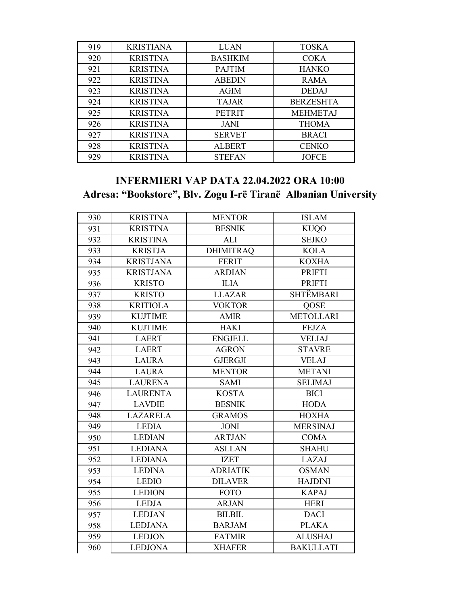| 919 | <b>KRISTIANA</b> | <b>LUAN</b>    | <b>TOSKA</b>     |
|-----|------------------|----------------|------------------|
| 920 | <b>KRISTINA</b>  | <b>BASHKIM</b> | <b>COKA</b>      |
| 921 | <b>KRISTINA</b>  | <b>PAJTIM</b>  | <b>HANKO</b>     |
| 922 | <b>KRISTINA</b>  | <b>ABEDIN</b>  | <b>RAMA</b>      |
| 923 | <b>KRISTINA</b>  | <b>AGIM</b>    | <b>DEDAJ</b>     |
| 924 | <b>KRISTINA</b>  | <b>TAJAR</b>   | <b>BERZESHTA</b> |
| 925 | <b>KRISTINA</b>  | <b>PETRIT</b>  | <b>MEHMETAJ</b>  |
| 926 | <b>KRISTINA</b>  | <b>JANI</b>    | <b>THOMA</b>     |
| 927 | <b>KRISTINA</b>  | <b>SERVET</b>  | <b>BRACI</b>     |
| 928 | <b>KRISTINA</b>  | <b>ALBERT</b>  | <b>CENKO</b>     |
| 929 | <b>KRISTINA</b>  | <b>STEFAN</b>  | <b>JOFCE</b>     |

# **INFERMIERI VAP DATA 22.04.2022 ORA 10:00 Adresa: "Bookstore", Blv. Zogu I-rë Tiranë Albanian University**

| 930 | <b>KRISTINA</b>  | <b>MENTOR</b>    | <b>ISLAM</b>     |
|-----|------------------|------------------|------------------|
| 931 | <b>KRISTINA</b>  | <b>BESNIK</b>    | <b>KUQO</b>      |
| 932 | <b>KRISTINA</b>  | <b>ALI</b>       | <b>SEJKO</b>     |
| 933 | <b>KRISTJA</b>   | <b>DHIMITRAQ</b> | <b>KOLA</b>      |
| 934 | <b>KRISTJANA</b> | <b>FERIT</b>     | <b>KOXHA</b>     |
| 935 | <b>KRISTJANA</b> | <b>ARDIAN</b>    | <b>PRIFTI</b>    |
| 936 | <b>KRISTO</b>    | <b>ILIA</b>      | <b>PRIFTI</b>    |
| 937 | <b>KRISTO</b>    | <b>LLAZAR</b>    | <b>SHTËMBARI</b> |
| 938 | <b>KRITIOLA</b>  | <b>VOKTOR</b>    | QOSE             |
| 939 | <b>KUJTIME</b>   | <b>AMIR</b>      | <b>METOLLARI</b> |
| 940 | <b>KUJTIME</b>   | <b>HAKI</b>      | <b>FEJZA</b>     |
| 941 | <b>LAERT</b>     | <b>ENGJELL</b>   | <b>VELIAJ</b>    |
| 942 | <b>LAERT</b>     | <b>AGRON</b>     | <b>STAVRE</b>    |
| 943 | <b>LAURA</b>     | <b>GJERGJI</b>   | <b>VELAJ</b>     |
| 944 | <b>LAURA</b>     | <b>MENTOR</b>    | <b>METANI</b>    |
| 945 | <b>LAURENA</b>   | <b>SAMI</b>      | <b>SELIMAJ</b>   |
| 946 | <b>LAURENTA</b>  | <b>KOSTA</b>     | <b>BICI</b>      |
| 947 | <b>LAVDIE</b>    | <b>BESNIK</b>    | <b>HODA</b>      |
| 948 | <b>LAZARELA</b>  | <b>GRAMOS</b>    | <b>HOXHA</b>     |
| 949 | <b>LEDIA</b>     | <b>JONI</b>      | <b>MERSINAJ</b>  |
| 950 | <b>LEDIAN</b>    | <b>ARTJAN</b>    | <b>COMA</b>      |
| 951 | <b>LEDIANA</b>   | <b>ASLLAN</b>    | <b>SHAHU</b>     |
| 952 | <b>LEDIANA</b>   | <b>IZET</b>      | LAZAJ            |
| 953 | <b>LEDINA</b>    | <b>ADRIATIK</b>  | <b>OSMAN</b>     |
| 954 | <b>LEDIO</b>     | <b>DILAVER</b>   | <b>HAJDINI</b>   |
| 955 | <b>LEDION</b>    | <b>FOTO</b>      | <b>KAPAJ</b>     |
| 956 | <b>LEDJA</b>     | <b>ARJAN</b>     | <b>HERI</b>      |
| 957 | <b>LEDJAN</b>    | <b>BILBIL</b>    | <b>DACI</b>      |
| 958 | <b>LEDJANA</b>   | <b>BARJAM</b>    | <b>PLAKA</b>     |
| 959 | <b>LEDJON</b>    | <b>FATMIR</b>    | <b>ALUSHAJ</b>   |
| 960 | <b>LEDJONA</b>   | <b>XHAFER</b>    | <b>BAKULLATI</b> |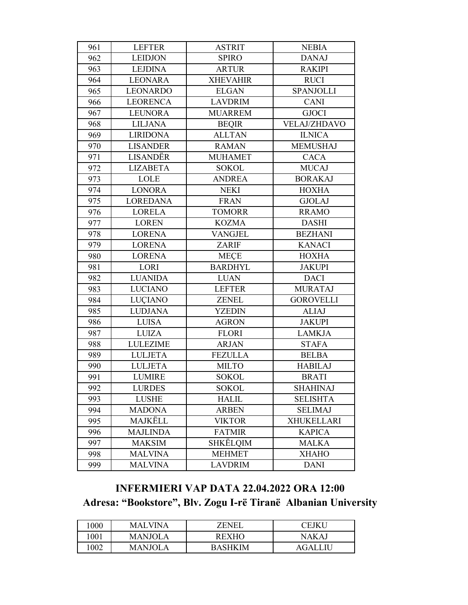| 961 | <b>LEFTER</b>   | <b>ASTRIT</b>   | <b>NEBIA</b>        |
|-----|-----------------|-----------------|---------------------|
| 962 | <b>LEIDJON</b>  | <b>SPIRO</b>    | <b>DANAJ</b>        |
| 963 | <b>LEJDINA</b>  | <b>ARTUR</b>    | <b>RAKIPI</b>       |
| 964 | <b>LEONARA</b>  | <b>XHEVAHIR</b> | <b>RUCI</b>         |
| 965 | <b>LEONARDO</b> | <b>ELGAN</b>    | <b>SPANJOLLI</b>    |
| 966 | <b>LEORENCA</b> | <b>LAVDRIM</b>  | <b>CANI</b>         |
| 967 | <b>LEUNORA</b>  | <b>MUARREM</b>  | <b>GJOCI</b>        |
| 968 | <b>LILJANA</b>  | <b>BEQIR</b>    | <b>VELAJ/ZHDAVO</b> |
| 969 | <b>LIRIDONA</b> | <b>ALLTAN</b>   | <b>ILNICA</b>       |
| 970 | <b>LISANDER</b> | <b>RAMAN</b>    | <b>MEMUSHAJ</b>     |
| 971 | LISANDËR        | <b>MUHAMET</b>  | <b>CACA</b>         |
| 972 | <b>LIZABETA</b> | <b>SOKOL</b>    | <b>MUCAJ</b>        |
| 973 | LOLE            | <b>ANDREA</b>   | <b>BORAKAJ</b>      |
| 974 | <b>LONORA</b>   | <b>NEKI</b>     | <b>HOXHA</b>        |
| 975 | <b>LOREDANA</b> | <b>FRAN</b>     | <b>GJOLAJ</b>       |
| 976 | <b>LORELA</b>   | <b>TOMORR</b>   | <b>RRAMO</b>        |
| 977 | <b>LOREN</b>    | <b>KOZMA</b>    | <b>DASHI</b>        |
| 978 | <b>LORENA</b>   | <b>VANGJEL</b>  | <b>BEZHANI</b>      |
| 979 | <b>LORENA</b>   | <b>ZARIF</b>    | <b>KANACI</b>       |
| 980 | <b>LORENA</b>   | <b>MECE</b>     | <b>HOXHA</b>        |
| 981 | LORI            | <b>BARDHYL</b>  | <b>JAKUPI</b>       |
| 982 | <b>LUANIDA</b>  | <b>LUAN</b>     | <b>DACI</b>         |
| 983 | <b>LUCIANO</b>  | <b>LEFTER</b>   | <b>MURATAJ</b>      |
| 984 | <b>LUÇIANO</b>  | <b>ZENEL</b>    | <b>GOROVELLI</b>    |
| 985 | <b>LUDJANA</b>  | <b>YZEDIN</b>   | <b>ALIAJ</b>        |
| 986 | <b>LUISA</b>    | <b>AGRON</b>    | <b>JAKUPI</b>       |
| 987 | <b>LUIZA</b>    | <b>FLORI</b>    | <b>LAMKJA</b>       |
| 988 | <b>LULEZIME</b> | <b>ARJAN</b>    | <b>STAFA</b>        |
| 989 | <b>LULJETA</b>  | <b>FEZULLA</b>  | <b>BELBA</b>        |
| 990 | <b>LULJETA</b>  | <b>MILTO</b>    | <b>HABILAJ</b>      |
| 991 | <b>LUMIRE</b>   | <b>SOKOL</b>    | <b>BRATI</b>        |
| 992 | <b>LURDES</b>   | <b>SOKOL</b>    | <b>SHAHINAJ</b>     |
| 993 | <b>LUSHE</b>    | <b>HALIL</b>    | <b>SELISHTA</b>     |
| 994 | <b>MADONA</b>   | <b>ARBEN</b>    | <b>SELIMAJ</b>      |
| 995 | MAJKËLL         | <b>VIKTOR</b>   | <b>XHUKELLARI</b>   |
| 996 | <b>MAJLINDA</b> | <b>FATMIR</b>   | <b>KAPICA</b>       |
| 997 | <b>MAKSIM</b>   | SHKËLQIM        | <b>MALKA</b>        |
| 998 | <b>MALVINA</b>  | <b>MEHMET</b>   | <b>XHAHO</b>        |
| 999 | <b>MALVINA</b>  | <b>LAVDRIM</b>  | <b>DANI</b>         |

# **INFERMIERI VAP DATA 22.04.2022 ORA 12:00** Adresa: "Bookstore", Blv. Zogu I-rë Tiranë Albanian University

| 1000 | MALVINA | ZENEI   | ^FIKL i |
|------|---------|---------|---------|
| 1001 | MANJOL. | REXHO   | NAKA.   |
| .002 | MANJOL  | BASHKIM | AGAIJJ  |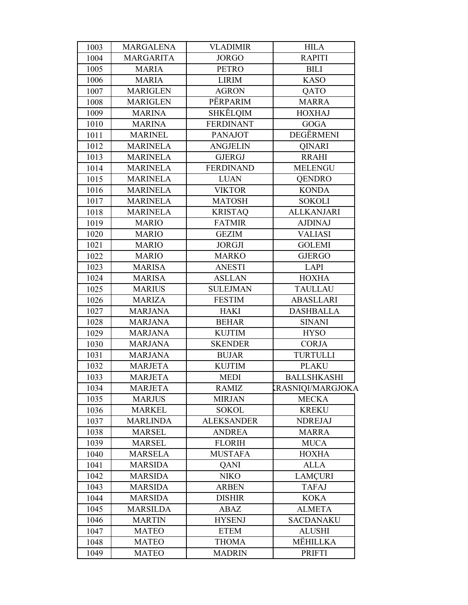| 1003 | <b>MARGALENA</b> | <b>VLADIMIR</b>   | <b>HILA</b>              |
|------|------------------|-------------------|--------------------------|
| 1004 | <b>MARGARITA</b> | <b>JORGO</b>      | <b>RAPITI</b>            |
| 1005 | <b>MARIA</b>     | <b>PETRO</b>      | <b>BILI</b>              |
| 1006 | <b>MARIA</b>     | <b>LIRIM</b>      | <b>KASO</b>              |
| 1007 | <b>MARIGLEN</b>  | <b>AGRON</b>      | QATO                     |
| 1008 | <b>MARIGLEN</b>  | PËRPARIM          | <b>MARRA</b>             |
| 1009 | <b>MARINA</b>    | SHKËLQIM          | <b>HOXHAJ</b>            |
| 1010 | <b>MARINA</b>    | <b>FERDINANT</b>  | <b>GOGA</b>              |
| 1011 | <b>MARINEL</b>   | <b>PANAJOT</b>    | DEGËRMENI                |
| 1012 | <b>MARINELA</b>  | <b>ANGJELIN</b>   | <b>QINARI</b>            |
| 1013 | <b>MARINELA</b>  | <b>GJERGJ</b>     | <b>RRAHI</b>             |
| 1014 | <b>MARINELA</b>  | <b>FERDINAND</b>  | <b>MELENGU</b>           |
| 1015 | <b>MARINELA</b>  | <b>LUAN</b>       | <b>QENDRO</b>            |
| 1016 | <b>MARINELA</b>  | <b>VIKTOR</b>     | <b>KONDA</b>             |
| 1017 | <b>MARINELA</b>  | <b>MATOSH</b>     | <b>SOKOLI</b>            |
| 1018 | <b>MARINELA</b>  | <b>KRISTAQ</b>    | <b>ALLKANJARI</b>        |
| 1019 | <b>MARIO</b>     | <b>FATMIR</b>     | <b>AJDINAJ</b>           |
| 1020 | <b>MARIO</b>     | <b>GEZIM</b>      | <b>VALIASI</b>           |
| 1021 | <b>MARIO</b>     | <b>JORGJI</b>     | <b>GOLEMI</b>            |
| 1022 | <b>MARIO</b>     | <b>MARKO</b>      | <b>GJERGO</b>            |
| 1023 | <b>MARISA</b>    | <b>ANESTI</b>     | LAPI                     |
| 1024 | <b>MARISA</b>    | <b>ASLLAN</b>     | <b>HOXHA</b>             |
| 1025 | <b>MARIUS</b>    | <b>SULEJMAN</b>   | <b>TAULLAU</b>           |
| 1026 | <b>MARIZA</b>    | <b>FESTIM</b>     | <b>ABASLLARI</b>         |
| 1027 | <b>MARJANA</b>   | HAKI              | <b>DASHBALLA</b>         |
| 1028 | <b>MARJANA</b>   | <b>BEHAR</b>      | <b>SINANI</b>            |
| 1029 | <b>MARJANA</b>   | <b>KUJTIM</b>     | <b>HYSO</b>              |
| 1030 | <b>MARJANA</b>   | <b>SKENDER</b>    | <b>CORJA</b>             |
| 1031 | <b>MARJANA</b>   | <b>BUJAR</b>      | <b>TURTULLI</b>          |
| 1032 | <b>MARJETA</b>   | <b>KUJTIM</b>     | <b>PLAKU</b>             |
| 1033 | <b>MARJETA</b>   | <b>MEDI</b>       | <b>BALLSHKASHI</b>       |
| 1034 | <b>MARJETA</b>   | <b>RAMIZ</b>      | <b>KRASNIQI/MARGJOKA</b> |
| 1035 | <b>MARJUS</b>    | <b>MIRJAN</b>     | <b>MECKA</b>             |
| 1036 | <b>MARKEL</b>    | <b>SOKOL</b>      | <b>KREKU</b>             |
| 1037 | <b>MARLINDA</b>  | <b>ALEKSANDER</b> | <b>NDREJAJ</b>           |
| 1038 | <b>MARSEL</b>    | <b>ANDREA</b>     | <b>MARRA</b>             |
| 1039 | <b>MARSEL</b>    | <b>FLORIH</b>     | <b>MUCA</b>              |
| 1040 | <b>MARSELA</b>   | <b>MUSTAFA</b>    | <b>HOXHA</b>             |
| 1041 | <b>MARSIDA</b>   | QANI              | <b>ALLA</b>              |
| 1042 | <b>MARSIDA</b>   | <b>NIKO</b>       | <b>LAMCURI</b>           |
| 1043 | <b>MARSIDA</b>   | <b>ARBEN</b>      | <b>TAFAJ</b>             |
| 1044 | <b>MARSIDA</b>   | <b>DISHIR</b>     | <b>KOKA</b>              |
| 1045 | <b>MARSILDA</b>  | ABAZ              | <b>ALMETA</b>            |
| 1046 | <b>MARTIN</b>    | <b>HYSENJ</b>     | <b>SACDANAKU</b>         |
| 1047 | <b>MATEO</b>     | <b>ETEM</b>       | <b>ALUSHI</b>            |
| 1048 | <b>MATEO</b>     | <b>THOMA</b>      | MËHILLKA                 |
| 1049 | <b>MATEO</b>     | <b>MADRIN</b>     | <b>PRIFTI</b>            |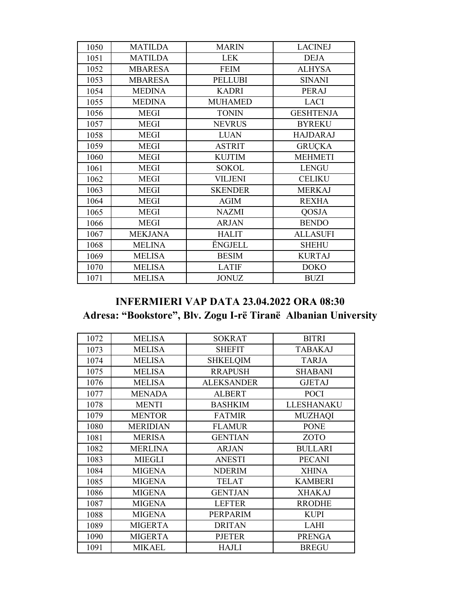| 1050 | <b>MATILDA</b> | <b>MARIN</b>   | <b>LACINEJ</b>   |
|------|----------------|----------------|------------------|
| 1051 | <b>MATILDA</b> | <b>LEK</b>     | <b>DEJA</b>      |
| 1052 | <b>MBARESA</b> | <b>FEIM</b>    | <b>ALHYSA</b>    |
| 1053 | <b>MBARESA</b> | <b>PELLUBI</b> | <b>SINANI</b>    |
| 1054 | <b>MEDINA</b>  | <b>KADRI</b>   | PERAJ            |
| 1055 | <b>MEDINA</b>  | <b>MUHAMED</b> | <b>LACI</b>      |
| 1056 | <b>MEGI</b>    | <b>TONIN</b>   | <b>GESHTENJA</b> |
| 1057 | <b>MEGI</b>    | <b>NEVRUS</b>  | <b>BYREKU</b>    |
| 1058 | <b>MEGI</b>    | <b>LUAN</b>    | <b>HAJDARAJ</b>  |
| 1059 | <b>MEGI</b>    | <b>ASTRIT</b>  | <b>GRUÇKA</b>    |
| 1060 | <b>MEGI</b>    | <b>KUJTIM</b>  | <b>MEHMETI</b>   |
| 1061 | <b>MEGI</b>    | <b>SOKOL</b>   | <b>LENGU</b>     |
| 1062 | <b>MEGI</b>    | VILJENI        | <b>CELIKU</b>    |
| 1063 | <b>MEGI</b>    | <b>SKENDER</b> | <b>MERKAJ</b>    |
| 1064 | <b>MEGI</b>    | <b>AGIM</b>    | <b>REXHA</b>     |
| 1065 | <b>MEGI</b>    | <b>NAZMI</b>   | <b>QOSJA</b>     |
| 1066 | <b>MEGI</b>    | <b>ARJAN</b>   | <b>BENDO</b>     |
| 1067 | <b>MEKJANA</b> | <b>HALIT</b>   | <b>ALLASUFI</b>  |
| 1068 | <b>MELINA</b>  | <b>ËNGJELL</b> | <b>SHEHU</b>     |
| 1069 | <b>MELISA</b>  | <b>BESIM</b>   | <b>KURTAJ</b>    |
| 1070 | <b>MELISA</b>  | <b>LATIF</b>   | <b>DOKO</b>      |
| 1071 | <b>MELISA</b>  | <b>JONUZ</b>   | <b>BUZI</b>      |

### **INFERMIERI VAP DATA 23.04.2022 ORA 08:30 Adresa: "Bookstore", Blv. Zogu I-rë Tiranë Albanian University**

| 1072 | <b>MELISA</b>   | <b>SOKRAT</b>     | <b>BITRI</b>      |
|------|-----------------|-------------------|-------------------|
| 1073 | <b>MELISA</b>   | <b>SHEFIT</b>     | <b>TABAKAJ</b>    |
| 1074 | <b>MELISA</b>   | <b>SHKELQIM</b>   | <b>TARJA</b>      |
| 1075 | <b>MELISA</b>   | <b>RRAPUSH</b>    | <b>SHABANI</b>    |
| 1076 | <b>MELISA</b>   | <b>ALEKSANDER</b> | <b>GJETAJ</b>     |
| 1077 | <b>MENADA</b>   | <b>ALBERT</b>     | <b>POCI</b>       |
| 1078 | <b>MENTI</b>    | <b>BASHKIM</b>    | <b>LLESHANAKU</b> |
| 1079 | <b>MENTOR</b>   | <b>FATMIR</b>     | <b>MUZHAQI</b>    |
| 1080 | <b>MERIDIAN</b> | <b>FLAMUR</b>     | <b>PONE</b>       |
| 1081 | <b>MERISA</b>   | <b>GENTIAN</b>    | <b>ZOTO</b>       |
| 1082 | <b>MERLINA</b>  | <b>ARJAN</b>      | <b>BULLARI</b>    |
| 1083 | <b>MIEGLI</b>   | <b>ANESTI</b>     | <b>PECANI</b>     |
| 1084 | <b>MIGENA</b>   | <b>NDERIM</b>     | <b>XHINA</b>      |
| 1085 | <b>MIGENA</b>   | <b>TELAT</b>      | <b>KAMBERI</b>    |
| 1086 | <b>MIGENA</b>   | <b>GENTJAN</b>    | <b>XHAKAJ</b>     |
| 1087 | <b>MIGENA</b>   | <b>LEFTER</b>     | <b>RRODHE</b>     |
| 1088 | <b>MIGENA</b>   | PERPARIM          | <b>KUPI</b>       |
| 1089 | <b>MIGERTA</b>  | <b>DRITAN</b>     | <b>LAHI</b>       |
| 1090 | <b>MIGERTA</b>  | <b>PJETER</b>     | <b>PRENGA</b>     |
| 1091 | <b>MIKAEL</b>   | <b>HAJLI</b>      | <b>BREGU</b>      |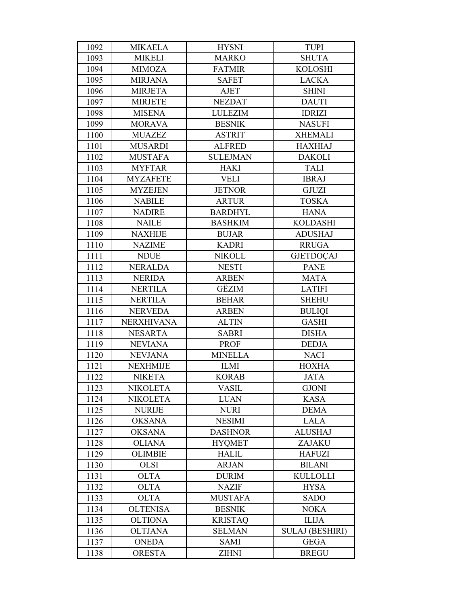| 1092 | <b>MIKAELA</b>    | <b>HYSNI</b>    | <b>TUPI</b>            |
|------|-------------------|-----------------|------------------------|
| 1093 | <b>MIKELI</b>     | <b>MARKO</b>    | <b>SHUTA</b>           |
| 1094 | <b>MIMOZA</b>     | <b>FATMIR</b>   | <b>KOLOSHI</b>         |
| 1095 | <b>MIRJANA</b>    | <b>SAFET</b>    | <b>LACKA</b>           |
| 1096 | <b>MIRJETA</b>    | AJET            | <b>SHINI</b>           |
| 1097 | <b>MIRJETE</b>    | <b>NEZDAT</b>   | <b>DAUTI</b>           |
| 1098 | <b>MISENA</b>     | <b>LULEZIM</b>  | <b>IDRIZI</b>          |
| 1099 | <b>MORAVA</b>     | <b>BESNIK</b>   | <b>NASUFI</b>          |
| 1100 | <b>MUAZEZ</b>     | <b>ASTRIT</b>   | <b>XHEMALI</b>         |
| 1101 | <b>MUSARDI</b>    | <b>ALFRED</b>   | <b>HAXHIAJ</b>         |
| 1102 | <b>MUSTAFA</b>    | <b>SULEJMAN</b> | <b>DAKOLI</b>          |
| 1103 | <b>MYFTAR</b>     | <b>HAKI</b>     | <b>TALI</b>            |
| 1104 | <b>MYZAFETE</b>   | <b>VELI</b>     | <b>IBRAJ</b>           |
| 1105 | <b>MYZEJEN</b>    | <b>JETNOR</b>   | <b>GJUZI</b>           |
| 1106 | <b>NABILE</b>     | <b>ARTUR</b>    | <b>TOSKA</b>           |
| 1107 | <b>NADIRE</b>     | <b>BARDHYL</b>  | <b>HANA</b>            |
| 1108 | <b>NAILE</b>      | <b>BASHKIM</b>  | <b>KOLDASHI</b>        |
| 1109 | <b>NAXHIJE</b>    | <b>BUJAR</b>    | <b>ADUSHAJ</b>         |
| 1110 | <b>NAZIME</b>     | <b>KADRI</b>    | <b>RRUGA</b>           |
| 1111 | <b>NDUE</b>       | <b>NIKOLL</b>   | <b>GJETDOÇAJ</b>       |
| 1112 | <b>NERALDA</b>    | <b>NESTI</b>    | <b>PANE</b>            |
| 1113 | <b>NERIDA</b>     | <b>ARBEN</b>    | <b>MATA</b>            |
| 1114 | <b>NERTILA</b>    | GËZIM           | <b>LATIFI</b>          |
| 1115 | <b>NERTILA</b>    | <b>BEHAR</b>    | <b>SHEHU</b>           |
| 1116 | <b>NERVEDA</b>    | <b>ARBEN</b>    | <b>BULIQI</b>          |
| 1117 | <b>NERXHIVANA</b> | <b>ALTIN</b>    | <b>GASHI</b>           |
| 1118 | <b>NESARTA</b>    | <b>SABRI</b>    | <b>DISHA</b>           |
| 1119 | <b>NEVIANA</b>    | <b>PROF</b>     | <b>DEDJA</b>           |
| 1120 | <b>NEVJANA</b>    | <b>MINELLA</b>  | <b>NACI</b>            |
| 1121 | <b>NEXHMIJE</b>   | <b>ILMI</b>     | <b>HOXHA</b>           |
| 1122 | <b>NIKETA</b>     | <b>KORAB</b>    | <b>JATA</b>            |
| 1123 | <b>NIKOLETA</b>   | <b>VASIL</b>    | <b>GJONI</b>           |
| 1124 | <b>NIKOLETA</b>   | <b>LUAN</b>     | <b>KASA</b>            |
| 1125 | <b>NURIJE</b>     | <b>NURI</b>     | <b>DEMA</b>            |
| 1126 | <b>OKSANA</b>     | <b>NESIMI</b>   | <b>LALA</b>            |
| 1127 | <b>OKSANA</b>     | <b>DASHNOR</b>  | <b>ALUSHAJ</b>         |
| 1128 | <b>OLIANA</b>     | <b>HYQMET</b>   | ZAJAKU                 |
| 1129 | <b>OLIMBIE</b>    | <b>HALIL</b>    | <b>HAFUZI</b>          |
| 1130 | <b>OLSI</b>       | <b>ARJAN</b>    | <b>BILANI</b>          |
| 1131 | <b>OLTA</b>       | <b>DURIM</b>    | <b>KULLOLLI</b>        |
| 1132 | <b>OLTA</b>       | <b>NAZIF</b>    | <b>HYSA</b>            |
| 1133 | <b>OLTA</b>       | <b>MUSTAFA</b>  | <b>SADO</b>            |
| 1134 | <b>OLTENISA</b>   | <b>BESNIK</b>   | <b>NOKA</b>            |
| 1135 | <b>OLTIONA</b>    | <b>KRISTAQ</b>  | <b>ILIJA</b>           |
| 1136 | <b>OLTJANA</b>    | <b>SELMAN</b>   | <b>SULAJ (BESHIRI)</b> |
| 1137 | <b>ONEDA</b>      | <b>SAMI</b>     | <b>GEGA</b>            |
| 1138 | <b>ORESTA</b>     | <b>ZIHNI</b>    | <b>BREGU</b>           |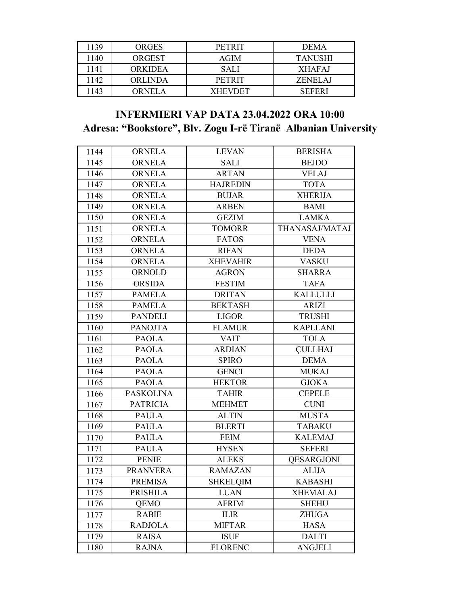| 1139 | <b>ORGES</b> | <b>PETRIT</b>  | <b>DEMA</b>    |
|------|--------------|----------------|----------------|
| 1140 | ORGEST       | AGIM           | <b>TANUSHI</b> |
| 1141 | ORKIDEA      | <b>SALI</b>    | <b>XHAFAJ</b>  |
| 1142 | ORLINDA      | PETRIT         | ZENELAJ        |
| 1143 | ORNEL A      | <b>XHEVDET</b> | <b>SEFERI</b>  |

### **INFERMIERI VAP DATA 23.04.2022 ORA 10:00 Adresa: "Bookstore", Blv. Zogu I-rë Tiranë Albanian University**

| 1144 | <b>ORNELA</b>    | <b>LEVAN</b>    | <b>BERISHA</b>    |
|------|------------------|-----------------|-------------------|
| 1145 | <b>ORNELA</b>    | SALI            | <b>BEJDO</b>      |
| 1146 | <b>ORNELA</b>    | <b>ARTAN</b>    | <b>VELAJ</b>      |
| 1147 | <b>ORNELA</b>    | <b>HAJREDIN</b> | <b>TOTA</b>       |
| 1148 | <b>ORNELA</b>    | <b>BUJAR</b>    | <b>XHERIJA</b>    |
| 1149 | <b>ORNELA</b>    | <b>ARBEN</b>    | <b>BAMI</b>       |
| 1150 | <b>ORNELA</b>    | <b>GEZIM</b>    | <b>LAMKA</b>      |
| 1151 | <b>ORNELA</b>    | <b>TOMORR</b>   | THANASAJ/MATAJ    |
| 1152 | <b>ORNELA</b>    | <b>FATOS</b>    | <b>VENA</b>       |
| 1153 | <b>ORNELA</b>    | <b>RIFAN</b>    | <b>DEDA</b>       |
| 1154 | <b>ORNELA</b>    | <b>XHEVAHIR</b> | <b>VASKU</b>      |
| 1155 | ORNOLD           | <b>AGRON</b>    | <b>SHARRA</b>     |
| 1156 | <b>ORSIDA</b>    | <b>FESTIM</b>   | <b>TAFA</b>       |
| 1157 | <b>PAMELA</b>    | <b>DRITAN</b>   | <b>KALLULLI</b>   |
| 1158 | <b>PAMELA</b>    | <b>BEKTASH</b>  | <b>ARIZI</b>      |
| 1159 | <b>PANDELI</b>   | <b>LIGOR</b>    | <b>TRUSHI</b>     |
| 1160 | <b>PANOJTA</b>   | <b>FLAMUR</b>   | <b>KAPLLANI</b>   |
| 1161 | <b>PAOLA</b>     | <b>VAIT</b>     | <b>TOLA</b>       |
| 1162 | <b>PAOLA</b>     | <b>ARDIAN</b>   | <b>CULLHAJ</b>    |
| 1163 | <b>PAOLA</b>     | <b>SPIRO</b>    | <b>DEMA</b>       |
| 1164 | <b>PAOLA</b>     | <b>GENCI</b>    | <b>MUKAJ</b>      |
| 1165 | <b>PAOLA</b>     | <b>HEKTOR</b>   | <b>GJOKA</b>      |
| 1166 | <b>PASKOLINA</b> | <b>TAHIR</b>    | <b>CEPELE</b>     |
| 1167 | <b>PATRICIA</b>  | <b>MEHMET</b>   | <b>CUNI</b>       |
| 1168 | <b>PAULA</b>     | <b>ALTIN</b>    | <b>MUSTA</b>      |
| 1169 | <b>PAULA</b>     | <b>BLERTI</b>   | <b>TABAKU</b>     |
| 1170 | <b>PAULA</b>     | <b>FEIM</b>     | <b>KALEMAJ</b>    |
| 1171 | <b>PAULA</b>     | <b>HYSEN</b>    | <b>SEFERI</b>     |
| 1172 | <b>PENIE</b>     | <b>ALEKS</b>    | <b>OESARGJONI</b> |
| 1173 | <b>PRANVERA</b>  | <b>RAMAZAN</b>  | <b>ALIJA</b>      |
| 1174 | <b>PREMISA</b>   | <b>SHKELOIM</b> | <b>KABASHI</b>    |
| 1175 | PRISHILA         | <b>LUAN</b>     | <b>XHEMALAJ</b>   |
| 1176 | QEMO             | <b>AFRIM</b>    | <b>SHEHU</b>      |
| 1177 | <b>RABIE</b>     | <b>ILIR</b>     | <b>ZHUGA</b>      |
| 1178 | <b>RADJOLA</b>   | <b>MIFTAR</b>   | <b>HASA</b>       |
| 1179 | <b>RAISA</b>     | <b>ISUF</b>     | <b>DALTI</b>      |
| 1180 | <b>RAJNA</b>     | <b>FLORENC</b>  | <b>ANGJELI</b>    |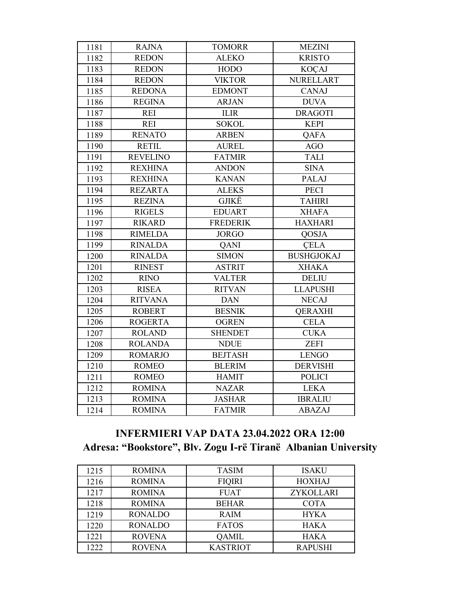| 1181 | <b>RAJNA</b>    | <b>TOMORR</b>   | <b>MEZINI</b>     |
|------|-----------------|-----------------|-------------------|
| 1182 | <b>REDON</b>    | <b>ALEKO</b>    | <b>KRISTO</b>     |
| 1183 | <b>REDON</b>    | <b>HODO</b>     | <b>KOÇAJ</b>      |
| 1184 | <b>REDON</b>    | <b>VIKTOR</b>   | <b>NURELLART</b>  |
| 1185 | <b>REDONA</b>   | <b>EDMONT</b>   | <b>CANAJ</b>      |
| 1186 | <b>REGINA</b>   | <b>ARJAN</b>    | <b>DUVA</b>       |
| 1187 | <b>REI</b>      | <b>ILIR</b>     | <b>DRAGOTI</b>    |
| 1188 | <b>REI</b>      | <b>SOKOL</b>    | <b>KEPI</b>       |
| 1189 | <b>RENATO</b>   | <b>ARBEN</b>    | <b>QAFA</b>       |
| 1190 | <b>RETIL</b>    | <b>AUREL</b>    | <b>AGO</b>        |
| 1191 | <b>REVELINO</b> | <b>FATMIR</b>   | <b>TALI</b>       |
| 1192 | <b>REXHINA</b>  | <b>ANDON</b>    | <b>SINA</b>       |
| 1193 | <b>REXHINA</b>  | <b>KANAN</b>    | PALAJ             |
| 1194 | <b>REZARTA</b>  | <b>ALEKS</b>    | <b>PECI</b>       |
| 1195 | <b>REZINA</b>   | GJIKË           | <b>TAHIRI</b>     |
| 1196 | <b>RIGELS</b>   | <b>EDUART</b>   | <b>XHAFA</b>      |
| 1197 | <b>RIKARD</b>   | <b>FREDERIK</b> | <b>HAXHARI</b>    |
| 1198 | <b>RIMELDA</b>  | <b>JORGO</b>    | QOSJA             |
| 1199 | <b>RINALDA</b>  | <b>QANI</b>     | <b>CELA</b>       |
| 1200 | <b>RINALDA</b>  | <b>SIMON</b>    | <b>BUSHGJOKAJ</b> |
| 1201 | <b>RINEST</b>   | <b>ASTRIT</b>   | <b>XHAKA</b>      |
| 1202 | <b>RINO</b>     | <b>VALTER</b>   | <b>DELIU</b>      |
| 1203 | <b>RISEA</b>    | <b>RITVAN</b>   | <b>LLAPUSHI</b>   |
| 1204 | <b>RITVANA</b>  | <b>DAN</b>      | <b>NECAJ</b>      |
| 1205 | <b>ROBERT</b>   | <b>BESNIK</b>   | <b>QERAXHI</b>    |
| 1206 | <b>ROGERTA</b>  | <b>OGREN</b>    | <b>CELA</b>       |
| 1207 | <b>ROLAND</b>   | <b>SHENDET</b>  | <b>CUKA</b>       |
| 1208 | <b>ROLANDA</b>  | <b>NDUE</b>     | <b>ZEFI</b>       |
| 1209 | <b>ROMARJO</b>  | <b>BEJTASH</b>  | <b>LENGO</b>      |
| 1210 | <b>ROMEO</b>    | <b>BLERIM</b>   | <b>DERVISHI</b>   |
| 1211 | <b>ROMEO</b>    | <b>HAMIT</b>    | <b>POLICI</b>     |
| 1212 | <b>ROMINA</b>   | <b>NAZAR</b>    | <b>LEKA</b>       |
| 1213 | <b>ROMINA</b>   | <b>JASHAR</b>   | <b>IBRALIU</b>    |
| 1214 | <b>ROMINA</b>   | <b>FATMIR</b>   | <b>ABAZAJ</b>     |

# **INFERMIERI VAP DATA 23.04.2022 ORA 12:00 Adresa: "Bookstore", Blv. Zogu I-rë Tiranë Albanian University**

| 1215 | <b>ROMINA</b>  | <b>TASIM</b>    | <b>ISAKU</b>   |
|------|----------------|-----------------|----------------|
| 1216 | <b>ROMINA</b>  | <b>FIQIRI</b>   | <b>HOXHAJ</b>  |
| 1217 | <b>ROMINA</b>  | <b>FUAT</b>     | ZYKOLLARI      |
| 1218 | <b>ROMINA</b>  | <b>BEHAR</b>    | <b>COTA</b>    |
| 1219 | <b>RONALDO</b> | <b>RAIM</b>     | <b>HYKA</b>    |
| 1220 | <b>RONALDO</b> | <b>FATOS</b>    | <b>HAKA</b>    |
| 1221 | <b>ROVENA</b>  | QAMIL           | <b>HAKA</b>    |
| 1222 | <b>ROVENA</b>  | <b>KASTRIOT</b> | <b>RAPUSHI</b> |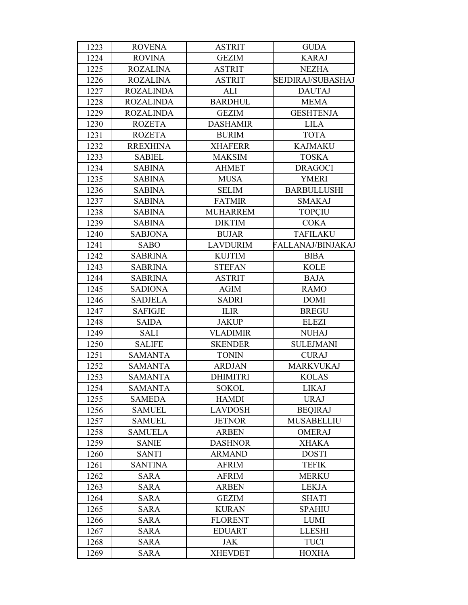| 1223 | <b>ROVENA</b>    | <b>ASTRIT</b>   | <b>GUDA</b>        |
|------|------------------|-----------------|--------------------|
| 1224 | <b>ROVINA</b>    | <b>GEZIM</b>    | <b>KARAJ</b>       |
| 1225 | <b>ROZALINA</b>  | <b>ASTRIT</b>   | <b>NEZHA</b>       |
| 1226 | <b>ROZALINA</b>  | <b>ASTRIT</b>   | SEJDIRAJ/SUBASHAJ  |
| 1227 | <b>ROZALINDA</b> | ALI             | <b>DAUTAJ</b>      |
| 1228 | <b>ROZALINDA</b> | <b>BARDHUL</b>  | <b>MEMA</b>        |
| 1229 | <b>ROZALINDA</b> | <b>GEZIM</b>    | <b>GESHTENJA</b>   |
| 1230 | <b>ROZETA</b>    | <b>DASHAMIR</b> | <b>LILA</b>        |
| 1231 | <b>ROZETA</b>    | <b>BURIM</b>    | <b>TOTA</b>        |
| 1232 | <b>RREXHINA</b>  | <b>XHAFERR</b>  | <b>KAJMAKU</b>     |
| 1233 | <b>SABIEL</b>    | <b>MAKSIM</b>   | <b>TOSKA</b>       |
| 1234 | <b>SABINA</b>    | <b>AHMET</b>    | <b>DRAGOCI</b>     |
| 1235 | <b>SABINA</b>    | <b>MUSA</b>     | <b>YMERI</b>       |
| 1236 | <b>SABINA</b>    | <b>SELIM</b>    | <b>BARBULLUSHI</b> |
| 1237 | <b>SABINA</b>    | <b>FATMIR</b>   | <b>SMAKAJ</b>      |
| 1238 | <b>SABINA</b>    | <b>MUHARREM</b> | <b>TOPCIU</b>      |
| 1239 | <b>SABINA</b>    | <b>DIKTIM</b>   | <b>COKA</b>        |
| 1240 | <b>SABJONA</b>   | <b>BUJAR</b>    | <b>TAFILAKU</b>    |
| 1241 | <b>SABO</b>      | <b>LAVDURIM</b> | FALLANAJ/BINJAKAJ  |
| 1242 | <b>SABRINA</b>   | <b>KUJTIM</b>   | <b>BIBA</b>        |
| 1243 | <b>SABRINA</b>   | <b>STEFAN</b>   | <b>KOLE</b>        |
| 1244 | <b>SABRINA</b>   | <b>ASTRIT</b>   | <b>BAJA</b>        |
| 1245 | <b>SADIONA</b>   | <b>AGIM</b>     | <b>RAMO</b>        |
| 1246 | <b>SADJELA</b>   | <b>SADRI</b>    | <b>DOMI</b>        |
| 1247 | <b>SAFIGJE</b>   | <b>ILIR</b>     | <b>BREGU</b>       |
| 1248 | <b>SAIDA</b>     | <b>JAKUP</b>    | <b>ELEZI</b>       |
| 1249 | <b>SALI</b>      | <b>VLADIMIR</b> | <b>NUHAJ</b>       |
| 1250 | <b>SALIFE</b>    | <b>SKENDER</b>  | <b>SULEJMANI</b>   |
| 1251 | <b>SAMANTA</b>   | <b>TONIN</b>    | <b>CURAJ</b>       |
| 1252 | <b>SAMANTA</b>   | <b>ARDJAN</b>   | <b>MARKVUKAJ</b>   |
| 1253 | <b>SAMANTA</b>   | <b>DHIMITRI</b> | <b>KOLAS</b>       |
| 1254 | <b>SAMANTA</b>   | <b>SOKOL</b>    | <b>LIKAJ</b>       |
| 1255 | <b>SAMEDA</b>    | <b>HAMDI</b>    | <b>URAJ</b>        |
| 1256 | <b>SAMUEL</b>    | <b>LAVDOSH</b>  | <b>BEQIRAJ</b>     |
| 1257 | <b>SAMUEL</b>    | <b>JETNOR</b>   | <b>MUSABELLIU</b>  |
| 1258 | <b>SAMUELA</b>   | <b>ARBEN</b>    | <b>OMERAJ</b>      |
| 1259 | <b>SANIE</b>     | <b>DASHNOR</b>  | <b>XHAKA</b>       |
| 1260 | <b>SANTI</b>     | <b>ARMAND</b>   | <b>DOSTI</b>       |
| 1261 | <b>SANTINA</b>   | <b>AFRIM</b>    | <b>TEFIK</b>       |
| 1262 | <b>SARA</b>      | <b>AFRIM</b>    | <b>MERKU</b>       |
| 1263 | <b>SARA</b>      | <b>ARBEN</b>    | <b>LEKJA</b>       |
| 1264 | <b>SARA</b>      | <b>GEZIM</b>    | <b>SHATI</b>       |
| 1265 | <b>SARA</b>      | <b>KURAN</b>    | <b>SPAHIU</b>      |
| 1266 | <b>SARA</b>      | <b>FLORENT</b>  | <b>LUMI</b>        |
| 1267 | <b>SARA</b>      | <b>EDUART</b>   | <b>LLESHI</b>      |
| 1268 | <b>SARA</b>      | <b>JAK</b>      | <b>TUCI</b>        |
| 1269 | <b>SARA</b>      | <b>XHEVDET</b>  | <b>HOXHA</b>       |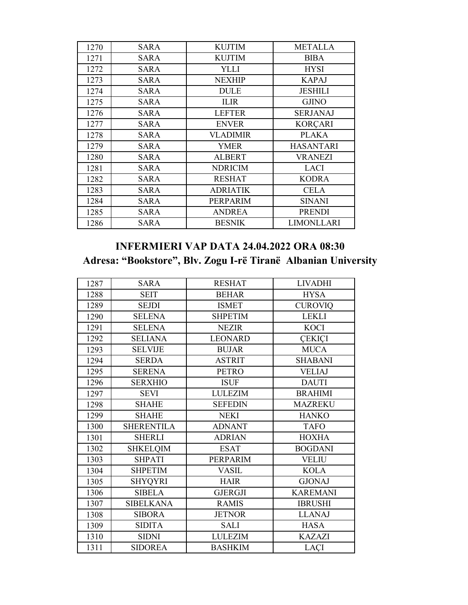| 1270 | <b>SARA</b> | <b>KUJTIM</b>   | <b>METALLA</b>    |
|------|-------------|-----------------|-------------------|
| 1271 | SARA        | <b>KUJTIM</b>   | <b>BIBA</b>       |
| 1272 | <b>SARA</b> | YLLI            | <b>HYSI</b>       |
| 1273 | SARA        | <b>NEXHIP</b>   | <b>KAPAJ</b>      |
| 1274 | <b>SARA</b> | <b>DULE</b>     | <b>JESHILI</b>    |
| 1275 | <b>SARA</b> | <b>ILIR</b>     | <b>GJINO</b>      |
| 1276 | <b>SARA</b> | <b>LEFTER</b>   | <b>SERJANAJ</b>   |
| 1277 | SARA        | <b>ENVER</b>    | <b>KORÇARI</b>    |
| 1278 | SARA        | <b>VLADIMIR</b> | <b>PLAKA</b>      |
| 1279 | <b>SARA</b> | <b>YMER</b>     | <b>HASANTARI</b>  |
| 1280 | <b>SARA</b> | <b>ALBERT</b>   | <b>VRANEZI</b>    |
| 1281 | SARA        | <b>NDRICIM</b>  | <b>LACI</b>       |
| 1282 | SARA        | <b>RESHAT</b>   | <b>KODRA</b>      |
| 1283 | <b>SARA</b> | <b>ADRIATIK</b> | <b>CELA</b>       |
| 1284 | <b>SARA</b> | <b>PERPARIM</b> | <b>SINANI</b>     |
| 1285 | <b>SARA</b> | <b>ANDREA</b>   | <b>PRENDI</b>     |
| 1286 | <b>SARA</b> | <b>BESNIK</b>   | <b>LIMONLLARI</b> |

# **INFERMIERI VAP DATA 24.04.2022 ORA 08:30 Adresa: "Bookstore", Blv. Zogu I-rë Tiranë Albanian University**

| 1287 | <b>SARA</b>       | <b>RESHAT</b>  | <b>LIVADHI</b>  |
|------|-------------------|----------------|-----------------|
| 1288 | <b>SEIT</b>       | <b>BEHAR</b>   | <b>HYSA</b>     |
| 1289 | <b>SEJDI</b>      | <b>ISMET</b>   | <b>CUROVIQ</b>  |
| 1290 | <b>SELENA</b>     | <b>SHPETIM</b> | <b>LEKLI</b>    |
| 1291 | <b>SELENA</b>     | <b>NEZIR</b>   | <b>KOCI</b>     |
| 1292 | <b>SELIANA</b>    | <b>LEONARD</b> | <b>CEKICI</b>   |
| 1293 | <b>SELVIJE</b>    | <b>BUJAR</b>   | <b>MUCA</b>     |
| 1294 | <b>SERDA</b>      | <b>ASTRIT</b>  | <b>SHABANI</b>  |
| 1295 | <b>SERENA</b>     | <b>PETRO</b>   | <b>VELIAJ</b>   |
| 1296 | <b>SERXHIO</b>    | <b>ISUF</b>    | <b>DAUTI</b>    |
| 1297 | <b>SEVI</b>       | <b>LULEZIM</b> | <b>BRAHIMI</b>  |
| 1298 | <b>SHAHE</b>      | <b>SEFEDIN</b> | <b>MAZREKU</b>  |
| 1299 | <b>SHAHE</b>      | <b>NEKI</b>    | <b>HANKO</b>    |
| 1300 | <b>SHERENTILA</b> | <b>ADNANT</b>  | <b>TAFO</b>     |
| 1301 | <b>SHERLI</b>     | <b>ADRIAN</b>  | <b>HOXHA</b>    |
| 1302 | <b>SHKELQIM</b>   | <b>ESAT</b>    | <b>BOGDANI</b>  |
| 1303 | <b>SHPATI</b>     | PERPARIM       | <b>VELIU</b>    |
| 1304 | <b>SHPETIM</b>    | <b>VASIL</b>   | <b>KOLA</b>     |
| 1305 | <b>SHYQYRI</b>    | <b>HAIR</b>    | <b>GJONAJ</b>   |
| 1306 | <b>SIBELA</b>     | <b>GJERGJI</b> | <b>KAREMANI</b> |
| 1307 | <b>SIBELKANA</b>  | <b>RAMIS</b>   | <b>IBRUSHI</b>  |
| 1308 | <b>SIBORA</b>     | <b>JETNOR</b>  | <b>LLANAJ</b>   |
| 1309 | <b>SIDITA</b>     | <b>SALI</b>    | <b>HASA</b>     |
| 1310 | <b>SIDNI</b>      | <b>LULEZIM</b> | <b>KAZAZI</b>   |
| 1311 | <b>SIDOREA</b>    | <b>BASHKIM</b> | <b>LACI</b>     |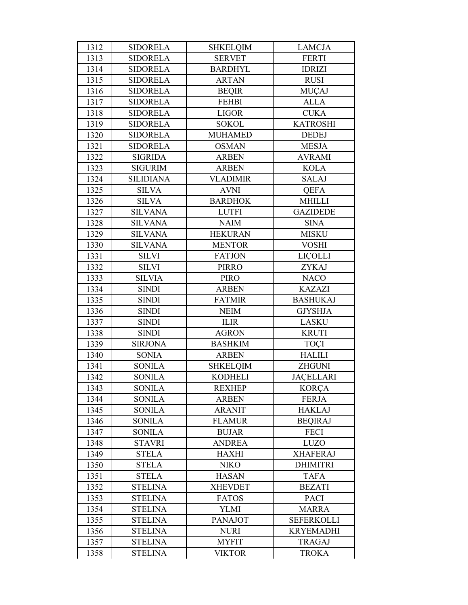| 1312 | <b>SIDORELA</b>  | <b>SHKELQIM</b> | <b>LAMCJA</b>     |
|------|------------------|-----------------|-------------------|
| 1313 | <b>SIDORELA</b>  | <b>SERVET</b>   | <b>FERTI</b>      |
| 1314 | <b>SIDORELA</b>  | <b>BARDHYL</b>  | <b>IDRIZI</b>     |
| 1315 | <b>SIDORELA</b>  | <b>ARTAN</b>    | <b>RUSI</b>       |
| 1316 | <b>SIDORELA</b>  | <b>BEQIR</b>    | <b>MUÇAJ</b>      |
| 1317 | <b>SIDORELA</b>  | <b>FEHBI</b>    | <b>ALLA</b>       |
| 1318 | <b>SIDORELA</b>  | <b>LIGOR</b>    | <b>CUKA</b>       |
| 1319 | <b>SIDORELA</b>  | <b>SOKOL</b>    | <b>KATROSHI</b>   |
| 1320 | <b>SIDORELA</b>  | <b>MUHAMED</b>  | <b>DEDEJ</b>      |
| 1321 | <b>SIDORELA</b>  | <b>OSMAN</b>    | <b>MESJA</b>      |
| 1322 | <b>SIGRIDA</b>   | <b>ARBEN</b>    | <b>AVRAMI</b>     |
| 1323 | <b>SIGURIM</b>   | <b>ARBEN</b>    | <b>KOLA</b>       |
| 1324 | <b>SILIDIANA</b> | <b>VLADIMIR</b> | <b>SALAJ</b>      |
| 1325 | <b>SILVA</b>     | <b>AVNI</b>     | <b>QEFA</b>       |
| 1326 | <b>SILVA</b>     | <b>BARDHOK</b>  | <b>MHILLI</b>     |
| 1327 | <b>SILVANA</b>   | <b>LUTFI</b>    | <b>GAZIDEDE</b>   |
| 1328 | <b>SILVANA</b>   | <b>NAIM</b>     | <b>SINA</b>       |
| 1329 | <b>SILVANA</b>   | <b>HEKURAN</b>  | <b>MISKU</b>      |
| 1330 | <b>SILVANA</b>   | <b>MENTOR</b>   | <b>VOSHI</b>      |
| 1331 | <b>SILVI</b>     | <b>FATJON</b>   | <b>LICOLLI</b>    |
| 1332 | <b>SILVI</b>     | <b>PIRRO</b>    | <b>ZYKAJ</b>      |
| 1333 | <b>SILVIA</b>    | <b>PIRO</b>     | <b>NACO</b>       |
| 1334 | <b>SINDI</b>     | <b>ARBEN</b>    | <b>KAZAZI</b>     |
| 1335 | <b>SINDI</b>     | <b>FATMIR</b>   | <b>BASHUKAJ</b>   |
| 1336 | <b>SINDI</b>     | <b>NEIM</b>     | <b>GJYSHJA</b>    |
| 1337 | <b>SINDI</b>     | <b>ILIR</b>     | <b>LASKU</b>      |
| 1338 | <b>SINDI</b>     | <b>AGRON</b>    | <b>KRUTI</b>      |
| 1339 | <b>SIRJONA</b>   | <b>BASHKIM</b>  | <b>TOÇI</b>       |
| 1340 | <b>SONIA</b>     | <b>ARBEN</b>    | <b>HALILI</b>     |
| 1341 | <b>SONILA</b>    | <b>SHKELQIM</b> | <b>ZHGUNI</b>     |
| 1342 | <b>SONILA</b>    | <b>KODHELI</b>  | <b>JACELLARI</b>  |
| 1343 | <b>SONILA</b>    | <b>REXHEP</b>   | <b>KORÇA</b>      |
| 1344 | <b>SONILA</b>    | <b>ARBEN</b>    | <b>FERJA</b>      |
| 1345 | <b>SONILA</b>    | <b>ARANIT</b>   | <b>HAKLAJ</b>     |
| 1346 | <b>SONILA</b>    | <b>FLAMUR</b>   | <b>BEQIRAJ</b>    |
| 1347 | <b>SONILA</b>    | <b>BUJAR</b>    | <b>FECI</b>       |
| 1348 | <b>STAVRI</b>    | <b>ANDREA</b>   | <b>LUZO</b>       |
| 1349 | <b>STELA</b>     | <b>HAXHI</b>    | <b>XHAFERAJ</b>   |
| 1350 | <b>STELA</b>     | <b>NIKO</b>     | <b>DHIMITRI</b>   |
| 1351 | <b>STELA</b>     | <b>HASAN</b>    | <b>TAFA</b>       |
| 1352 | <b>STELINA</b>   | <b>XHEVDET</b>  | <b>BEZATI</b>     |
| 1353 | <b>STELINA</b>   | <b>FATOS</b>    | <b>PACI</b>       |
| 1354 | <b>STELINA</b>   | <b>YLMI</b>     | <b>MARRA</b>      |
| 1355 | <b>STELINA</b>   | <b>PANAJOT</b>  | <b>SEFERKOLLI</b> |
| 1356 | <b>STELINA</b>   | <b>NURI</b>     | <b>KRYEMADHI</b>  |
| 1357 | <b>STELINA</b>   | <b>MYFIT</b>    | <b>TRAGAJ</b>     |
| 1358 | <b>STELINA</b>   | <b>VIKTOR</b>   | <b>TROKA</b>      |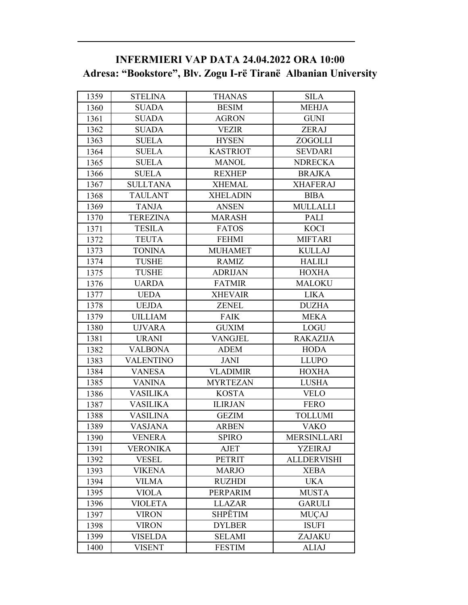### **INFERMIERI VAP DATA 24.04.2022 ORA 10:00 Adresa: "Bookstore", Blv. Zogu I-rë Tiranë Albanian University**

| 1359 | <b>STELINA</b>  | <b>THANAS</b>   | <b>SILA</b>        |
|------|-----------------|-----------------|--------------------|
| 1360 | <b>SUADA</b>    | <b>BESIM</b>    | <b>MEHJA</b>       |
| 1361 | <b>SUADA</b>    | <b>AGRON</b>    | <b>GUNI</b>        |
| 1362 | <b>SUADA</b>    | <b>VEZIR</b>    | <b>ZERAJ</b>       |
| 1363 | <b>SUELA</b>    | <b>HYSEN</b>    | ZOGOLLI            |
| 1364 | <b>SUELA</b>    | <b>KASTRIOT</b> | <b>SEVDARI</b>     |
| 1365 | <b>SUELA</b>    | <b>MANOL</b>    | <b>NDRECKA</b>     |
| 1366 | <b>SUELA</b>    | <b>REXHEP</b>   | <b>BRAJKA</b>      |
| 1367 | <b>SULLTANA</b> | <b>XHEMAL</b>   | <b>XHAFERAJ</b>    |
| 1368 | <b>TAULANT</b>  | <b>XHELADIN</b> | <b>BIBA</b>        |
| 1369 | <b>TANJA</b>    | <b>ANSEN</b>    | <b>MULLALLI</b>    |
| 1370 | <b>TEREZINA</b> | <b>MARASH</b>   | <b>PALI</b>        |
| 1371 | <b>TESILA</b>   | <b>FATOS</b>    | <b>KOCI</b>        |
| 1372 | <b>TEUTA</b>    | <b>FEHMI</b>    | <b>MIFTARI</b>     |
| 1373 | <b>TONINA</b>   | <b>MUHAMET</b>  | <b>KULLAJ</b>      |
| 1374 | <b>TUSHE</b>    | <b>RAMIZ</b>    | <b>HALILI</b>      |
| 1375 | <b>TUSHE</b>    | <b>ADRIJAN</b>  | <b>HOXHA</b>       |
| 1376 | <b>UARDA</b>    | <b>FATMIR</b>   | <b>MALOKU</b>      |
| 1377 | <b>UEDA</b>     | <b>XHEVAIR</b>  | <b>LIKA</b>        |
| 1378 | <b>UEJDA</b>    | ZENEL           | <b>DUZHA</b>       |
| 1379 | <b>UILLIAM</b>  | <b>FAIK</b>     | <b>MEKA</b>        |
| 1380 | <b>UJVARA</b>   | <b>GUXIM</b>    | <b>LOGU</b>        |
| 1381 | <b>URANI</b>    | <b>VANGJEL</b>  | <b>RAKAZIJA</b>    |
| 1382 | <b>VALBONA</b>  | <b>ADEM</b>     | <b>HODA</b>        |
| 1383 | VALENTINO       | JANI            | <b>LLUPO</b>       |
| 1384 | <b>VANESA</b>   | <b>VLADIMIR</b> | <b>HOXHA</b>       |
| 1385 | <b>VANINA</b>   | <b>MYRTEZAN</b> | <b>LUSHA</b>       |
| 1386 | <b>VASILIKA</b> | <b>KOSTA</b>    | <b>VELO</b>        |
| 1387 | <b>VASILIKA</b> | <b>ILIRJAN</b>  | <b>FERO</b>        |
| 1388 | VASILINA        | <b>GEZIM</b>    | <b>TOLLUMI</b>     |
| 1389 | <b>VASJANA</b>  | <b>ARBEN</b>    | <b>VAKO</b>        |
| 1390 | VENERA          | <b>SPIRO</b>    | <b>MERSINLLARI</b> |
| 1391 | VERONIKA        | <b>AJET</b>     | <b>YZEIRAJ</b>     |
| 1392 | <b>VESEL</b>    | <b>PETRIT</b>   | <b>ALLDERVISHI</b> |
| 1393 | <b>VIKENA</b>   | <b>MARJO</b>    | <b>XEBA</b>        |
| 1394 | <b>VILMA</b>    | <b>RUZHDI</b>   | <b>UKA</b>         |
| 1395 | <b>VIOLA</b>    | PERPARIM        | <b>MUSTA</b>       |
| 1396 | <b>VIOLETA</b>  | <b>LLAZAR</b>   | <b>GARULI</b>      |
| 1397 | <b>VIRON</b>    | <b>SHPËTIM</b>  | <b>MUÇAJ</b>       |
| 1398 | VIRON           | <b>DYLBER</b>   | <b>ISUFI</b>       |
| 1399 | <b>VISELDA</b>  | <b>SELAMI</b>   | ZAJAKU             |
| 1400 | VISENT          | <b>FESTIM</b>   | <b>ALIAJ</b>       |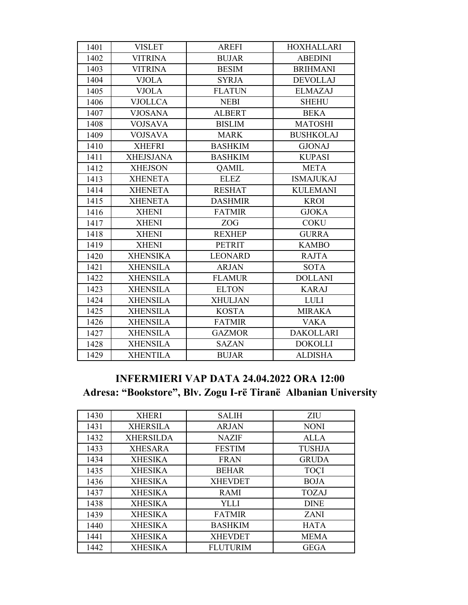| 1401 | <b>VISLET</b>    | <b>AREFI</b>   | <b>HOXHALLARI</b> |
|------|------------------|----------------|-------------------|
| 1402 | <b>VITRINA</b>   | <b>BUJAR</b>   | <b>ABEDINI</b>    |
| 1403 | <b>VITRINA</b>   | <b>BESIM</b>   | <b>BRIHMANI</b>   |
| 1404 | <b>VJOLA</b>     | <b>SYRJA</b>   | <b>DEVOLLAJ</b>   |
| 1405 | <b>VJOLA</b>     | <b>FLATUN</b>  | <b>ELMAZAJ</b>    |
| 1406 | <b>VJOLLCA</b>   | <b>NEBI</b>    | <b>SHEHU</b>      |
| 1407 | <b>VJOSANA</b>   | <b>ALBERT</b>  | <b>BEKA</b>       |
| 1408 | <b>VOJSAVA</b>   | <b>BISLIM</b>  | <b>MATOSHI</b>    |
| 1409 | <b>VOJSAVA</b>   | <b>MARK</b>    | <b>BUSHKOLAJ</b>  |
| 1410 | <b>XHEFRI</b>    | <b>BASHKIM</b> | <b>GJONAJ</b>     |
| 1411 | <b>XHEJSJANA</b> | <b>BASHKIM</b> | <b>KUPASI</b>     |
| 1412 | <b>XHEJSON</b>   | <b>QAMIL</b>   | <b>META</b>       |
| 1413 | <b>XHENETA</b>   | <b>ELEZ</b>    | <b>ISMAJUKAJ</b>  |
| 1414 | <b>XHENETA</b>   | <b>RESHAT</b>  | <b>KULEMANI</b>   |
| 1415 | <b>XHENETA</b>   | <b>DASHMIR</b> | <b>KROI</b>       |
| 1416 | <b>XHENI</b>     | <b>FATMIR</b>  | <b>GJOKA</b>      |
| 1417 | <b>XHENI</b>     | ZOG            | <b>COKU</b>       |
| 1418 | <b>XHENI</b>     | <b>REXHEP</b>  | <b>GURRA</b>      |
| 1419 | <b>XHENI</b>     | <b>PETRIT</b>  | <b>KAMBO</b>      |
| 1420 | <b>XHENSIKA</b>  | <b>LEONARD</b> | <b>RAJTA</b>      |
| 1421 | <b>XHENSILA</b>  | <b>ARJAN</b>   | <b>SOTA</b>       |
| 1422 | <b>XHENSILA</b>  | <b>FLAMUR</b>  | <b>DOLLANI</b>    |
| 1423 | <b>XHENSILA</b>  | <b>ELTON</b>   | <b>KARAJ</b>      |
| 1424 | <b>XHENSILA</b>  | <b>XHULJAN</b> | <b>LULI</b>       |
| 1425 | <b>XHENSILA</b>  | <b>KOSTA</b>   | <b>MIRAKA</b>     |
| 1426 | <b>XHENSILA</b>  | <b>FATMIR</b>  | <b>VAKA</b>       |
| 1427 | <b>XHENSILA</b>  | <b>GAZMOR</b>  | <b>DAKOLLARI</b>  |
| 1428 | <b>XHENSILA</b>  | <b>SAZAN</b>   | <b>DOKOLLI</b>    |
| 1429 | <b>XHENTILA</b>  | <b>BUJAR</b>   | <b>ALDISHA</b>    |

### **INFERMIERI VAP DATA 24.04.2022 ORA 12:00 Adresa: "Bookstore", Blv. Zogu I-rë Tiranë Albanian University**

| 1430 | <b>XHERI</b>     | <b>SALIH</b>    | ZIU           |
|------|------------------|-----------------|---------------|
| 1431 | <b>XHERSILA</b>  | <b>ARJAN</b>    | <b>NONI</b>   |
| 1432 | <b>XHERSILDA</b> | <b>NAZIF</b>    | ALLA          |
| 1433 | <b>XHESARA</b>   | <b>FESTIM</b>   | <b>TUSHJA</b> |
| 1434 | <b>XHESIKA</b>   | <b>FRAN</b>     | <b>GRUDA</b>  |
| 1435 | <b>XHESIKA</b>   | <b>BEHAR</b>    | <b>TOÇI</b>   |
| 1436 | <b>XHESIKA</b>   | <b>XHEVDET</b>  | <b>BOJA</b>   |
| 1437 | <b>XHESIKA</b>   | <b>RAMI</b>     | <b>TOZAJ</b>  |
| 1438 | <b>XHESIKA</b>   | YLLI            | <b>DINE</b>   |
| 1439 | <b>XHESIKA</b>   | <b>FATMIR</b>   | <b>ZANI</b>   |
| 1440 | <b>XHESIKA</b>   | <b>BASHKIM</b>  | <b>HATA</b>   |
| 1441 | <b>XHESIKA</b>   | <b>XHEVDET</b>  | <b>MEMA</b>   |
| 1442 | <b>XHESIKA</b>   | <b>FLUTURIM</b> | <b>GEGA</b>   |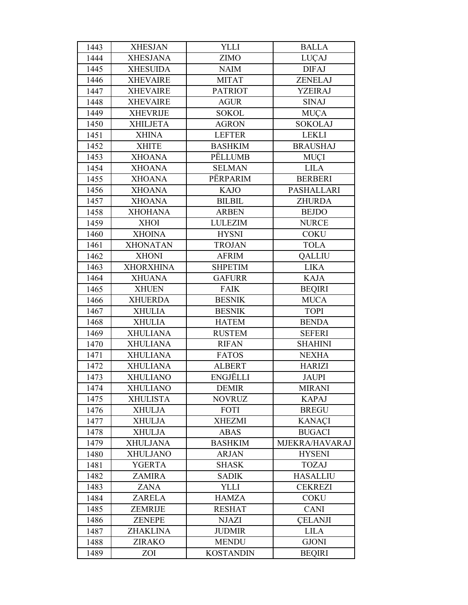| 1443 | <b>XHESJAN</b>   | <b>YLLI</b>      | <b>BALLA</b>    |
|------|------------------|------------------|-----------------|
| 1444 | <b>XHESJANA</b>  | <b>ZIMO</b>      | LUÇAJ           |
| 1445 | <b>XHESUIDA</b>  | <b>NAIM</b>      | <b>DIFAJ</b>    |
| 1446 | <b>XHEVAIRE</b>  | <b>MITAT</b>     | <b>ZENELAJ</b>  |
| 1447 | <b>XHEVAIRE</b>  | <b>PATRIOT</b>   | <b>YZEIRAJ</b>  |
| 1448 | <b>XHEVAIRE</b>  | <b>AGUR</b>      | <b>SINAJ</b>    |
| 1449 | <b>XHEVRIJE</b>  | <b>SOKOL</b>     | <b>MUÇA</b>     |
| 1450 | <b>XHILJETA</b>  | <b>AGRON</b>     | <b>SOKOLAJ</b>  |
| 1451 | <b>XHINA</b>     | <b>LEFTER</b>    | <b>LEKLI</b>    |
| 1452 | <b>XHITE</b>     | <b>BASHKIM</b>   | <b>BRAUSHAJ</b> |
| 1453 | <b>XHOANA</b>    | PËLLUMB          | MUÇI            |
| 1454 | <b>XHOANA</b>    | <b>SELMAN</b>    | <b>LILA</b>     |
| 1455 | <b>XHOANA</b>    | PËRPARIM         | <b>BERBERI</b>  |
| 1456 | <b>XHOANA</b>    | <b>KAJO</b>      | PASHALLARI      |
| 1457 | <b>XHOANA</b>    | <b>BILBIL</b>    | <b>ZHURDA</b>   |
| 1458 | <b>XHOHANA</b>   | <b>ARBEN</b>     | <b>BEJDO</b>    |
| 1459 | <b>XHOI</b>      | <b>LULEZIM</b>   | <b>NURCE</b>    |
| 1460 | <b>XHOINA</b>    | <b>HYSNI</b>     | <b>COKU</b>     |
| 1461 | <b>XHONATAN</b>  | <b>TROJAN</b>    | <b>TOLA</b>     |
| 1462 | <b>XHONI</b>     | <b>AFRIM</b>     | <b>QALLIU</b>   |
| 1463 | <b>XHORXHINA</b> | <b>SHPETIM</b>   | <b>LIKA</b>     |
| 1464 | <b>XHUANA</b>    | <b>GAFURR</b>    | <b>KAJA</b>     |
| 1465 | <b>XHUEN</b>     | <b>FAIK</b>      | <b>BEQIRI</b>   |
| 1466 | <b>XHUERDA</b>   | <b>BESNIK</b>    | <b>MUCA</b>     |
| 1467 | <b>XHULIA</b>    | <b>BESNIK</b>    | <b>TOPI</b>     |
| 1468 | <b>XHULIA</b>    | <b>HATEM</b>     | <b>BENDA</b>    |
| 1469 | <b>XHULIANA</b>  | <b>RUSTEM</b>    | <b>SEFERI</b>   |
| 1470 | <b>XHULIANA</b>  | <b>RIFAN</b>     | <b>SHAHINI</b>  |
| 1471 | <b>XHULIANA</b>  | <b>FATOS</b>     | <b>NEXHA</b>    |
| 1472 | <b>XHULIANA</b>  | <b>ALBERT</b>    | <b>HARIZI</b>   |
| 1473 | <b>XHULIANO</b>  | ENGJËLLI         | <b>JAUPI</b>    |
| 1474 | <b>XHULIANO</b>  | <b>DEMIR</b>     | <b>MIRANI</b>   |
| 1475 | <b>XHULISTA</b>  | <b>NOVRUZ</b>    | <b>KAPAJ</b>    |
| 1476 | <b>XHULJA</b>    | FOTI             | <b>BREGU</b>    |
| 1477 | <b>XHULJA</b>    | <b>XHEZMI</b>    | <b>KANACI</b>   |
| 1478 | <b>XHULJA</b>    | <b>ABAS</b>      | <b>BUGACI</b>   |
| 1479 | <b>XHULJANA</b>  | <b>BASHKIM</b>   | MJEKRA/HAVARAJ  |
| 1480 | <b>XHULJANO</b>  | <b>ARJAN</b>     | <b>HYSENI</b>   |
| 1481 | YGERTA           | <b>SHASK</b>     | <b>TOZAJ</b>    |
| 1482 | <b>ZAMIRA</b>    | <b>SADIK</b>     | <b>HASALLIU</b> |
| 1483 | ZANA             | <b>YLLI</b>      | <b>CEKREZI</b>  |
| 1484 | <b>ZARELA</b>    | <b>HAMZA</b>     | <b>COKU</b>     |
| 1485 | <b>ZEMRIJE</b>   | <b>RESHAT</b>    | <b>CANI</b>     |
| 1486 | <b>ZENEPE</b>    | <b>NJAZI</b>     | <b>CELANJI</b>  |
| 1487 | ZHAKLINA         | <b>JUDMIR</b>    | <b>LILA</b>     |
| 1488 | <b>ZIRAKO</b>    | <b>MENDU</b>     | <b>GJONI</b>    |
| 1489 | ZOI              | <b>KOSTANDIN</b> | <b>BEQIRI</b>   |